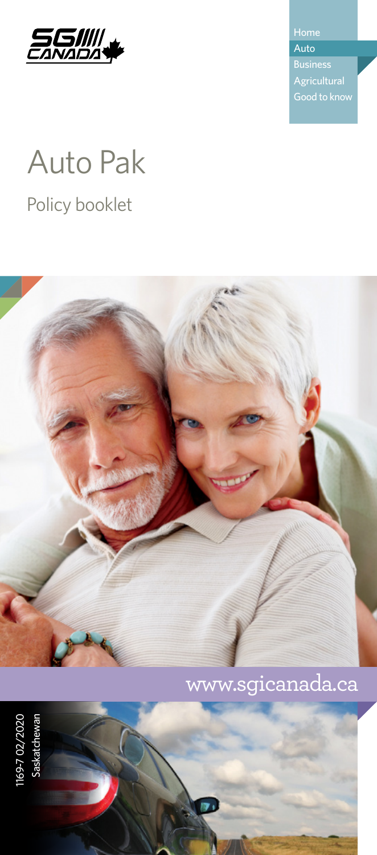

Auto

# Auto Pak

Policy booklet



# www.sgicanada.ca

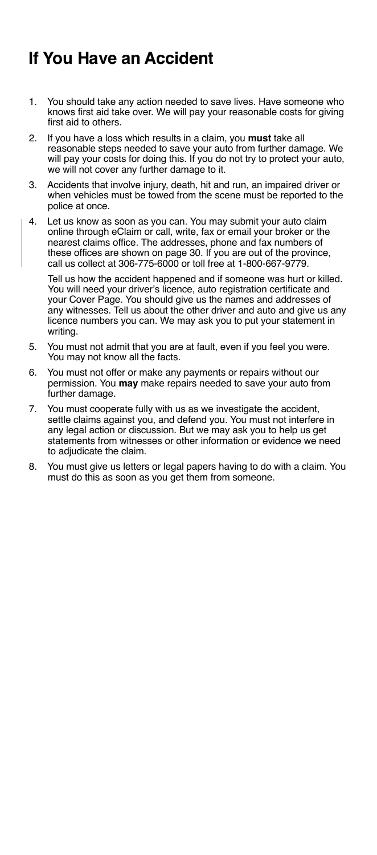# <span id="page-1-0"></span>**If You Have an Accident**

- 1. You should take any action needed to save lives. Have someone who knows first aid take over. We will pay your reasonable costs for giving first aid to others.
- 2. If you have a loss which results in a claim, you **must** take all reasonable steps needed to save your auto from further damage. We will pay your costs for doing this. If you do not try to protect your auto, we will not cover any further damage to it.
- 3. Accidents that involve injury, death, hit and run, an impaired driver or when vehicles must be towed from the scene must be reported to the police at once.
- 4. Let us know as soon as you can. You may submit your auto claim online through eClaim or call, write, fax or email your broker or the nearest claims office. The addresses, phone and fax numbers of these offices are shown on page 30. If you are out of the province, call us collect at 306-775-6000 or toll free at 1-800-667-9779.

Tell us how the accident happened and if someone was hurt or killed. You will need your driver's licence, auto registration certificate and your Cover Page. You should give us the names and addresses of any witnesses. Tell us about the other driver and auto and give us any licence numbers you can. We may ask you to put your statement in writing.

- 5. You must not admit that you are at fault, even if you feel you were. You may not know all the facts.
- 6. You must not offer or make any payments or repairs without our permission. You **may** make repairs needed to save your auto from further damage.
- 7. You must cooperate fully with us as we investigate the accident, settle claims against you, and defend you. You must not interfere in any legal action or discussion. But we may ask you to help us get statements from witnesses or other information or evidence we need to adjudicate the claim.
- 8. You must give us letters or legal papers having to do with a claim. You must do this as soon as you get them from someone.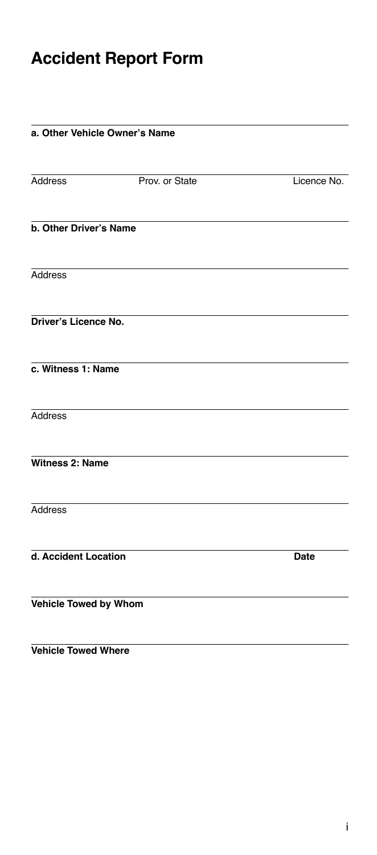# <span id="page-2-0"></span>**Accident Report Form**

### **a. Other Vehicle Owner's Name**

Address Prov. or State Licence No.

**b. Other Driver's Name**

Address

**Driver's Licence No.**

**c. Witness 1: Name**

**Address** 

**Witness 2: Name**

**Address** 

**d. Accident Location Date**

**Vehicle Towed by Whom**

**Vehicle Towed Where**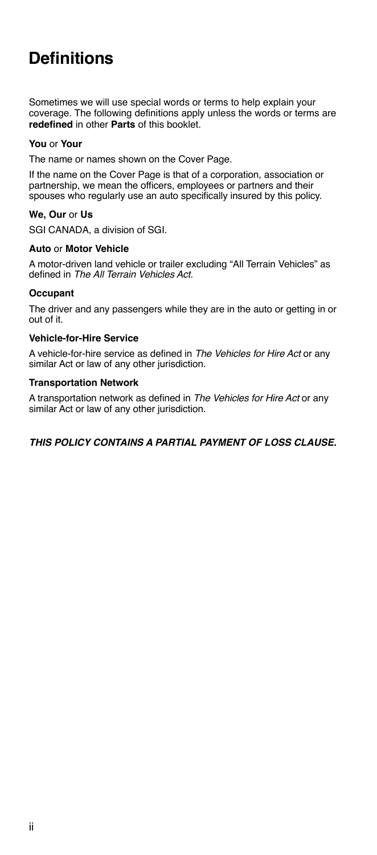# <span id="page-3-0"></span>**Definitions**

Sometimes we will use special words or terms to help explain your coverage. The following definitions apply unless the words or terms are **redefined** in other **Parts** of this booklet.

### **You** or **Your**

The name or names shown on the Cover Page.

If the name on the Cover Page is that of a corporation, association or partnership, we mean the officers, employees or partners and their spouses who regularly use an auto specifically insured by this policy.

### **We, Our** or **Us**

SGI CANADA, a division of SGI.

### **Auto** or **Motor Vehicle**

A motor-driven land vehicle or trailer excluding "All Terrain Vehicles" as defined in *The All Terrain Vehicles Act.*

### **Occupant**

The driver and any passengers while they are in the auto or getting in or out of it.

### **Vehicle-for-Hire Service**

A vehicle-for-hire service as defined in *The Vehicles for Hire Act* or any similar Act or law of any other jurisdiction.

### **Transportation Network**

A transportation network as defined in *The Vehicles for Hire Act* or any similar Act or law of any other jurisdiction.

*THIS POLICY CONTAINS A PARTIAL PAYMENT OF LOSS CLAUSE.*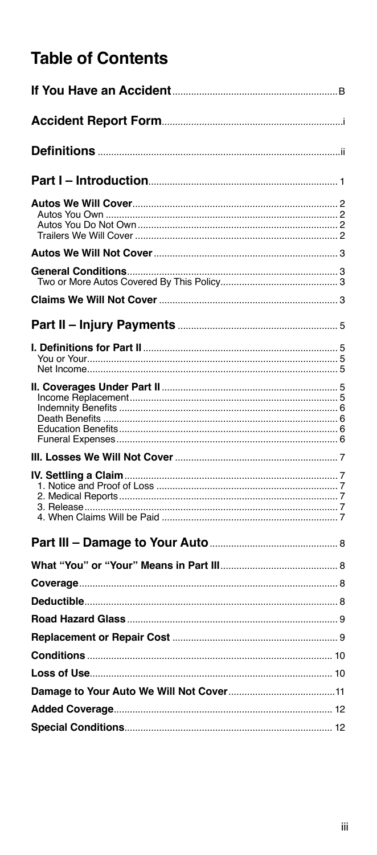# **Table of Contents**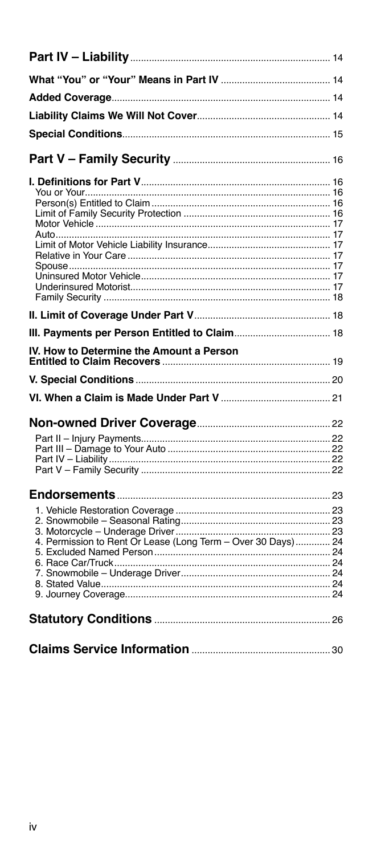| IV. How to Determine the Amount a Person                     |  |
|--------------------------------------------------------------|--|
|                                                              |  |
|                                                              |  |
|                                                              |  |
|                                                              |  |
|                                                              |  |
|                                                              |  |
|                                                              |  |
|                                                              |  |
|                                                              |  |
|                                                              |  |
|                                                              |  |
|                                                              |  |
|                                                              |  |
| 4. Permission to Rent Or Lease (Long Term - Over 30 Days) 24 |  |
|                                                              |  |
|                                                              |  |
|                                                              |  |
|                                                              |  |
|                                                              |  |
|                                                              |  |
|                                                              |  |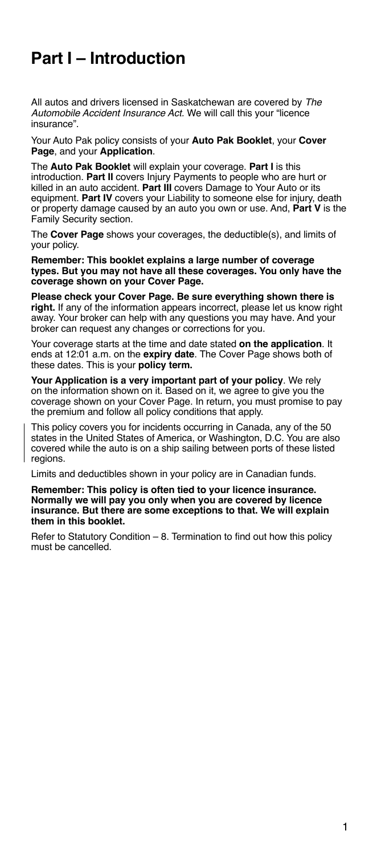# <span id="page-6-0"></span>**Part I – Introduction**

All autos and drivers licensed in Saskatchewan are covered by *The Automobile Accident Insurance Act.* We will call this your "licence insurance".

Your Auto Pak policy consists of your **Auto Pak Booklet**, your **Cover Page**, and your **Application**.

The **Auto Pak Booklet** will explain your coverage. **Part I** is this introduction. **Part II** covers Injury Payments to people who are hurt or killed in an auto accident. **Part III** covers Damage to Your Auto or its equipment. **Part IV** covers your Liability to someone else for injury, death or property damage caused by an auto you own or use. And, **Part V** is the Family Security section.

The **Cover Page** shows your coverages, the deductible(s), and limits of your policy.

**Remember: This booklet explains a large number of coverage types. But you may not have all these coverages. You only have the coverage shown on your Cover Page.**

**Please check your Cover Page. Be sure everything shown there is right.** If any of the information appears incorrect, please let us know right away. Your broker can help with any questions you may have. And your broker can request any changes or corrections for you.

Your coverage starts at the time and date stated **on the application**. It ends at 12:01 a.m. on the **expiry date**. The Cover Page shows both of these dates. This is your **policy term.**

**Your Application is a very important part of your policy**. We rely on the information shown on it. Based on it, we agree to give you the coverage shown on your Cover Page. In return, you must promise to pay the premium and follow all policy conditions that apply.

This policy covers you for incidents occurring in Canada, any of the 50 states in the United States of America, or Washington, D.C. You are also covered while the auto is on a ship sailing between ports of these listed regions.

Limits and deductibles shown in your policy are in Canadian funds.

#### **Remember: This policy is often tied to your licence insurance. Normally we will pay you only when you are covered by licence insurance. But there are some exceptions to that. We will explain them in this booklet.**

Refer to Statutory Condition – 8. Termination to find out how this policy must be cancelled.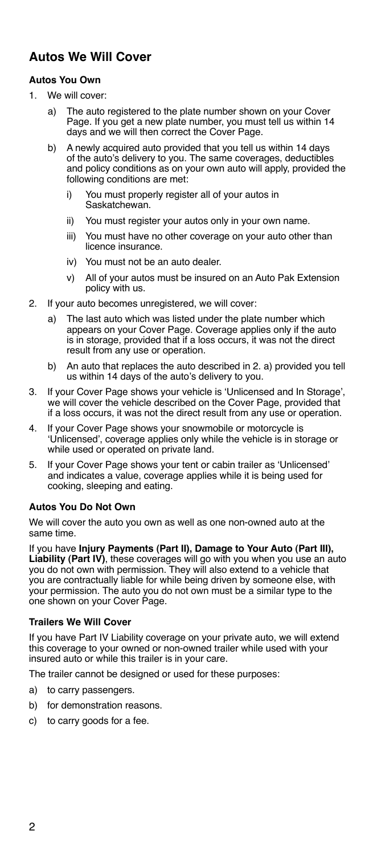# <span id="page-7-0"></span>**Autos We Will Cover**

### **Autos You Own**

- 1. We will cover:
	- a) The auto registered to the plate number shown on your Cover Page. If you get a new plate number, you must tell us within 14 days and we will then correct the Cover Page.
	- b) A newly acquired auto provided that you tell us within 14 days of the auto's delivery to you. The same coverages, deductibles and policy conditions as on your own auto will apply, provided the following conditions are met:
		- i) You must properly register all of your autos in Saskatchewan.
		- ii) You must register your autos only in your own name.
		- iii) You must have no other coverage on your auto other than licence insurance.
		- iv) You must not be an auto dealer.
		- v) All of your autos must be insured on an Auto Pak Extension policy with us.
- 2. If your auto becomes unregistered, we will cover:
	- a) The last auto which was listed under the plate number which appears on your Cover Page. Coverage applies only if the auto is in storage, provided that if a loss occurs, it was not the direct result from any use or operation.
	- b) An auto that replaces the auto described in 2. a) provided you tell us within 14 days of the auto's delivery to you.
- 3. If your Cover Page shows your vehicle is 'Unlicensed and In Storage', we will cover the vehicle described on the Cover Page, provided that if a loss occurs, it was not the direct result from any use or operation.
- 4. If your Cover Page shows your snowmobile or motorcycle is 'Unlicensed', coverage applies only while the vehicle is in storage or while used or operated on private land.
- 5. If your Cover Page shows your tent or cabin trailer as 'Unlicensed' and indicates a value, coverage applies while it is being used for cooking, sleeping and eating.

### **Autos You Do Not Own**

We will cover the auto you own as well as one non-owned auto at the same time.

If you have **Injury Payments (Part II), Damage to Your Auto (Part III), Liability (Part IV)**, these coverages will go with you when you use an auto you do not own with permission. They will also extend to a vehicle that you are contractually liable for while being driven by someone else, with your permission. The auto you do not own must be a similar type to the one shown on your Cover Page.

### **Trailers We Will Cover**

If you have Part IV Liability coverage on your private auto, we will extend this coverage to your owned or non-owned trailer while used with your insured auto or while this trailer is in your care.

The trailer cannot be designed or used for these purposes:

- a) to carry passengers.
- b) for demonstration reasons.
- c) to carry goods for a fee.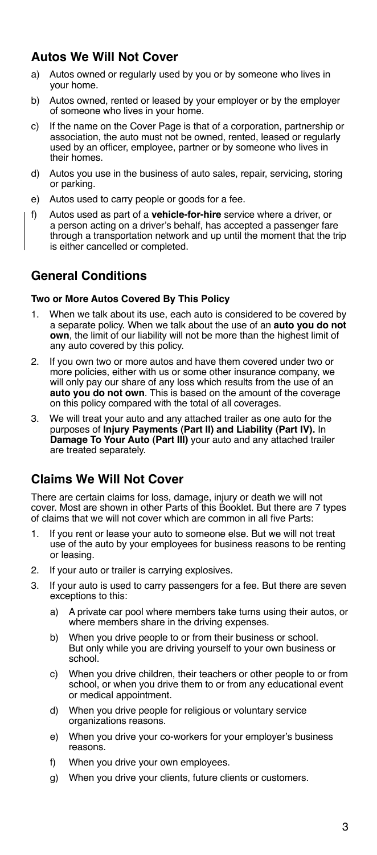# <span id="page-8-0"></span>**Autos We Will Not Cover**

- a) Autos owned or regularly used by you or by someone who lives in your home.
- b) Autos owned, rented or leased by your employer or by the employer of someone who lives in your home.
- c) If the name on the Cover Page is that of a corporation, partnership or association, the auto must not be owned, rented, leased or regularly used by an officer, employee, partner or by someone who lives in their homes.
- d) Autos you use in the business of auto sales, repair, servicing, storing or parking.
- e) Autos used to carry people or goods for a fee.
- f) Autos used as part of a **vehicle-for-hire** service where a driver, or a person acting on a driver's behalf, has accepted a passenger fare through a transportation network and up until the moment that the trip is either cancelled or completed.

# **General Conditions**

### **Two or More Autos Covered By This Policy**

- 1. When we talk about its use, each auto is considered to be covered by a separate policy. When we talk about the use of an **auto you do not own**, the limit of our liability will not be more than the highest limit of any auto covered by this policy.
- 2. If you own two or more autos and have them covered under two or more policies, either with us or some other insurance company, we will only pay our share of any loss which results from the use of an **auto you do not own**. This is based on the amount of the coverage on this policy compared with the total of all coverages.
- 3. We will treat your auto and any attached trailer as one auto for the purposes of **Injury Payments (Part II) and Liability (Part IV).** In **Damage To Your Auto (Part III)** your auto and any attached trailer are treated separately.

### **Claims We Will Not Cover**

There are certain claims for loss, damage, injury or death we will not cover. Most are shown in other Parts of this Booklet. But there are 7 types of claims that we will not cover which are common in all five Parts:

- 1. If you rent or lease your auto to someone else. But we will not treat use of the auto by your employees for business reasons to be renting or leasing.
- 2. If your auto or trailer is carrying explosives.
- 3. If your auto is used to carry passengers for a fee. But there are seven exceptions to this:
	- a) A private car pool where members take turns using their autos, or where members share in the driving expenses.
	- b) When you drive people to or from their business or school. But only while you are driving yourself to your own business or school.
	- c) When you drive children, their teachers or other people to or from school, or when you drive them to or from any educational event or medical appointment.
	- d) When you drive people for religious or voluntary service organizations reasons.
	- e) When you drive your co-workers for your employer's business reasons.
	- f) When you drive your own employees.
	- g) When you drive your clients, future clients or customers.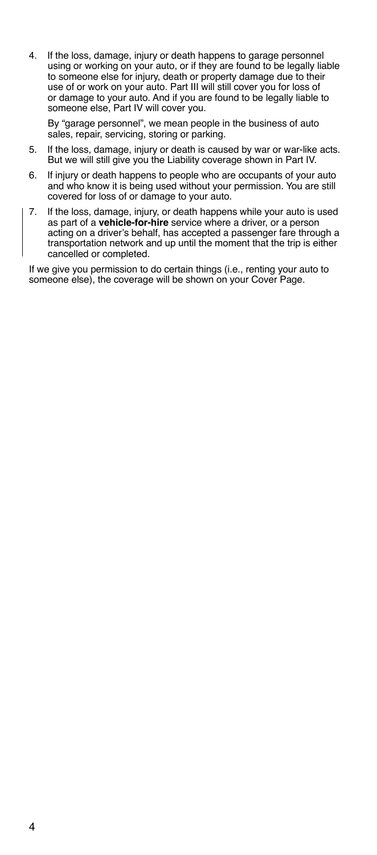4. If the loss, damage, injury or death happens to garage personnel using or working on your auto, or if they are found to be legally liable to someone else for injury, death or property damage due to their use of or work on your auto. Part III will still cover you for loss of or damage to your auto. And if you are found to be legally liable to someone else, Part IV will cover you.

By "garage personnel", we mean people in the business of auto sales, repair, servicing, storing or parking.

- 5. If the loss, damage, injury or death is caused by war or war-like acts. But we will still give you the Liability coverage shown in Part IV.
- 6. If injury or death happens to people who are occupants of your auto and who know it is being used without your permission. You are still covered for loss of or damage to your auto.
- 7. If the loss, damage, injury, or death happens while your auto is used as part of a **vehicle-for-hire** service where a driver, or a person acting on a driver's behalf, has accepted a passenger fare through a transportation network and up until the moment that the trip is either cancelled or completed.

If we give you permission to do certain things (i.e., renting your auto to someone else), the coverage will be shown on your Cover Page.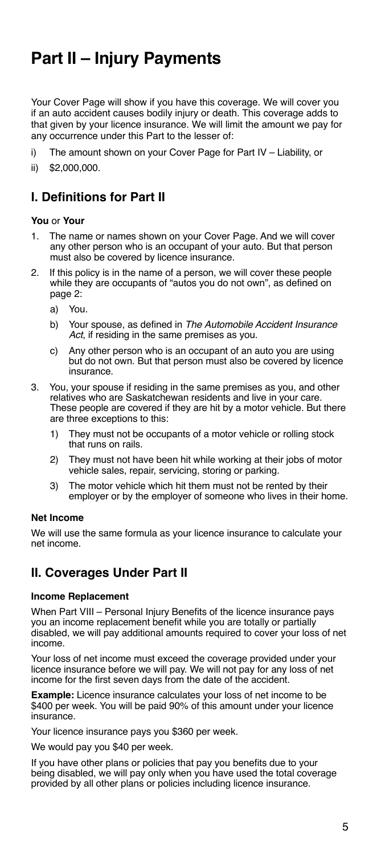# <span id="page-10-0"></span>**Part II – Injury Payments**

Your Cover Page will show if you have this coverage. We will cover you if an auto accident causes bodily injury or death. This coverage adds to that given by your licence insurance. We will limit the amount we pay for any occurrence under this Part to the lesser of:

- i) The amount shown on your Cover Page for Part IV Liability, or
- ii) \$2,000,000.

# **I. Definitions for Part II**

### **You** or **Your**

- 1. The name or names shown on your Cover Page. And we will cover any other person who is an occupant of your auto. But that person must also be covered by licence insurance.
- 2. If this policy is in the name of a person, we will cover these people while they are occupants of "autos you do not own", as defined on page 2:
	- a) You.
	- b) Your spouse, as defined in *The Automobile Accident Insurance Act*, if residing in the same premises as you.
	- c) Any other person who is an occupant of an auto you are using but do not own. But that person must also be covered by licence insurance.
- 3. You, your spouse if residing in the same premises as you, and other relatives who are Saskatchewan residents and live in your care. These people are covered if they are hit by a motor vehicle. But there are three exceptions to this:
	- 1) They must not be occupants of a motor vehicle or rolling stock that runs on rails.
	- 2) They must not have been hit while working at their jobs of motor vehicle sales, repair, servicing, storing or parking.
	- 3) The motor vehicle which hit them must not be rented by their employer or by the employer of someone who lives in their home.

### **Net Income**

We will use the same formula as your licence insurance to calculate your net income.

### **II. Coverages Under Part II**

### **Income Replacement**

When Part VIII – Personal Injury Benefits of the licence insurance pays you an income replacement benefit while you are totally or partially disabled, we will pay additional amounts required to cover your loss of net income.

Your loss of net income must exceed the coverage provided under your licence insurance before we will pay. We will not pay for any loss of net income for the first seven days from the date of the accident.

**Example:** Licence insurance calculates your loss of net income to be \$400 per week. You will be paid 90% of this amount under your licence insurance.

Your licence insurance pays you \$360 per week.

We would pay you \$40 per week.

If you have other plans or policies that pay you benefits due to your being disabled, we will pay only when you have used the total coverage provided by all other plans or policies including licence insurance.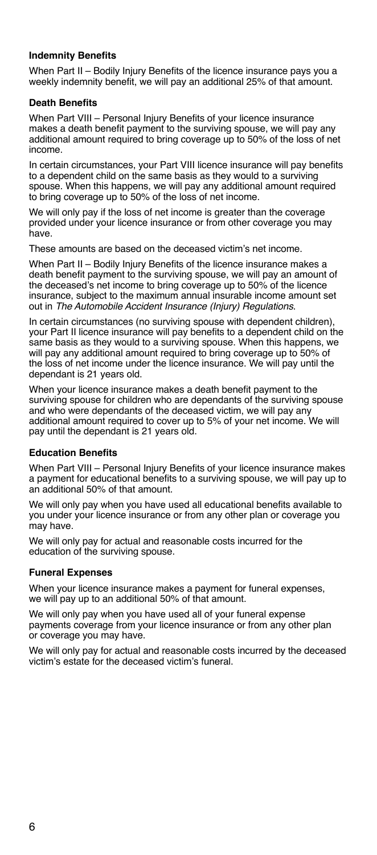### <span id="page-11-0"></span>**Indemnity Benefits**

When Part II – Bodily Injury Benefits of the licence insurance pays you a weekly indemnity benefit, we will pay an additional 25% of that amount.

### **Death Benefits**

When Part VIII – Personal Injury Benefits of your licence insurance makes a death benefit payment to the surviving spouse, we will pay any additional amount required to bring coverage up to 50% of the loss of net income.

In certain circumstances, your Part VIII licence insurance will pay benefits to a dependent child on the same basis as they would to a surviving spouse. When this happens, we will pay any additional amount required to bring coverage up to 50% of the loss of net income.

We will only pay if the loss of net income is greater than the coverage provided under your licence insurance or from other coverage you may have.

These amounts are based on the deceased victim's net income.

When Part II – Bodily Injury Benefits of the licence insurance makes a death benefit payment to the surviving spouse, we will pay an amount of the deceased's net income to bring coverage up to 50% of the licence insurance, subject to the maximum annual insurable income amount set out in *The Automobile Accident Insurance (Injury) Regulations*.

In certain circumstances (no surviving spouse with dependent children), your Part II licence insurance will pay benefits to a dependent child on the same basis as they would to a surviving spouse. When this happens, we will pay any additional amount required to bring coverage up to 50% of the loss of net income under the licence insurance. We will pay until the dependant is 21 years old.

When your licence insurance makes a death benefit payment to the surviving spouse for children who are dependants of the surviving spouse and who were dependants of the deceased victim, we will pay any additional amount required to cover up to 5% of your net income. We will pay until the dependant is 21 years old.

### **Education Benefits**

When Part VIII – Personal Injury Benefits of your licence insurance makes a payment for educational benefits to a surviving spouse, we will pay up to an additional 50% of that amount.

We will only pay when you have used all educational benefits available to you under your licence insurance or from any other plan or coverage you may have.

We will only pay for actual and reasonable costs incurred for the education of the surviving spouse.

### **Funeral Expenses**

When your licence insurance makes a payment for funeral expenses, we will pay up to an additional 50% of that amount.

We will only pay when you have used all of your funeral expense payments coverage from your licence insurance or from any other plan or coverage you may have.

We will only pay for actual and reasonable costs incurred by the deceased victim's estate for the deceased victim's funeral.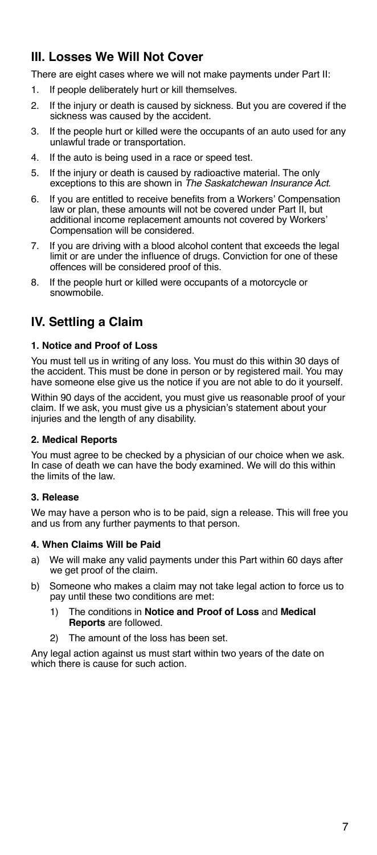# <span id="page-12-0"></span>**III. Losses We Will Not Cover**

There are eight cases where we will not make payments under Part II:

- 1. If people deliberately hurt or kill themselves.
- 2. If the injury or death is caused by sickness. But you are covered if the sickness was caused by the accident.
- 3. If the people hurt or killed were the occupants of an auto used for any unlawful trade or transportation.
- 4. If the auto is being used in a race or speed test.
- 5. If the injury or death is caused by radioactive material. The only exceptions to this are shown in *The Saskatchewan Insurance Act*.
- 6. If you are entitled to receive benefits from a Workers' Compensation law or plan, these amounts will not be covered under Part II, but additional income replacement amounts not covered by Workers' Compensation will be considered.
- 7. If you are driving with a blood alcohol content that exceeds the legal limit or are under the influence of drugs. Conviction for one of these offences will be considered proof of this.
- 8. If the people hurt or killed were occupants of a motorcycle or snowmobile.

# **IV. Settling a Claim**

### **1. Notice and Proof of Loss**

You must tell us in writing of any loss. You must do this within 30 days of the accident. This must be done in person or by registered mail. You may have someone else give us the notice if you are not able to do it yourself.

Within 90 days of the accident, you must give us reasonable proof of your claim. If we ask, you must give us a physician's statement about your injuries and the length of any disability.

### **2. Medical Reports**

You must agree to be checked by a physician of our choice when we ask. In case of death we can have the body examined. We will do this within the limits of the law.

### **3. Release**

We may have a person who is to be paid, sign a release. This will free you and us from any further payments to that person.

### **4. When Claims Will be Paid**

- a) We will make any valid payments under this Part within 60 days after we get proof of the claim.
- b) Someone who makes a claim may not take legal action to force us to pay until these two conditions are met:
	- 1) The conditions in **Notice and Proof of Loss** and **Medical Reports** are followed.
	- 2) The amount of the loss has been set.

Any legal action against us must start within two years of the date on which there is cause for such action.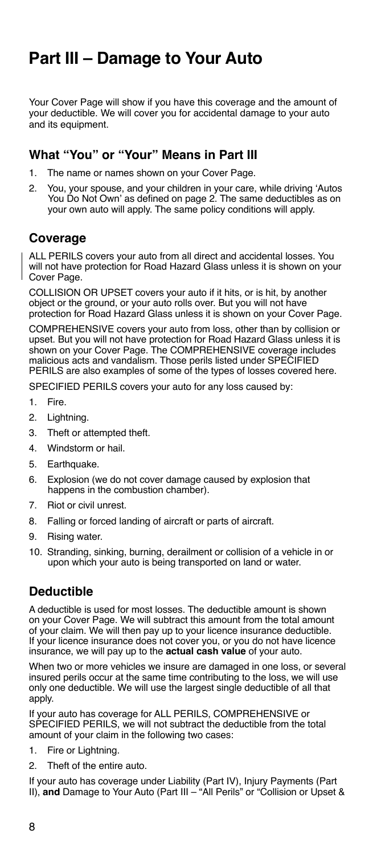# <span id="page-13-0"></span>**Part III – Damage to Your Auto**

Your Cover Page will show if you have this coverage and the amount of your deductible. We will cover you for accidental damage to your auto and its equipment.

### **What "You" or "Your" Means in Part III**

- 1. The name or names shown on your Cover Page.
- 2. You, your spouse, and your children in your care, while driving 'Autos You Do Not Own' as defined on page 2. The same deductibles as on your own auto will apply. The same policy conditions will apply.

### **Coverage**

ALL PERILS covers your auto from all direct and accidental losses. You will not have protection for Road Hazard Glass unless it is shown on your Cover Page.

COLLISION OR UPSET covers your auto if it hits, or is hit, by another object or the ground, or your auto rolls over. But you will not have protection for Road Hazard Glass unless it is shown on your Cover Page.

COMPREHENSIVE covers your auto from loss, other than by collision or upset. But you will not have protection for Road Hazard Glass unless it is shown on your Cover Page. The COMPREHENSIVE coverage includes malicious acts and vandalism. Those perils listed under SPECIFIED PERILS are also examples of some of the types of losses covered here.

SPECIFIED PERILS covers your auto for any loss caused by:

- 1. Fire.
- 2. Lightning.
- 3. Theft or attempted theft.
- 4. Windstorm or hail.
- 5. Earthquake.
- 6. Explosion (we do not cover damage caused by explosion that happens in the combustion chamber).
- 7. Riot or civil unrest.
- 8. Falling or forced landing of aircraft or parts of aircraft.
- 9. Rising water.
- 10. Stranding, sinking, burning, derailment or collision of a vehicle in or upon which your auto is being transported on land or water.

# **Deductible**

A deductible is used for most losses. The deductible amount is shown on your Cover Page. We will subtract this amount from the total amount of your claim. We will then pay up to your licence insurance deductible. If your licence insurance does not cover you, or you do not have licence insurance, we will pay up to the **actual cash value** of your auto.

When two or more vehicles we insure are damaged in one loss, or several insured perils occur at the same time contributing to the loss, we will use only one deductible. We will use the largest single deductible of all that apply.

If your auto has coverage for ALL PERILS, COMPREHENSIVE or SPECIFIED PERILS, we will not subtract the deductible from the total amount of your claim in the following two cases:

- 1. Fire or Lightning.
- 2. Theft of the entire auto.

If your auto has coverage under Liability (Part IV), Injury Payments (Part II), **and** Damage to Your Auto (Part III – "All Perils" or "Collision or Upset &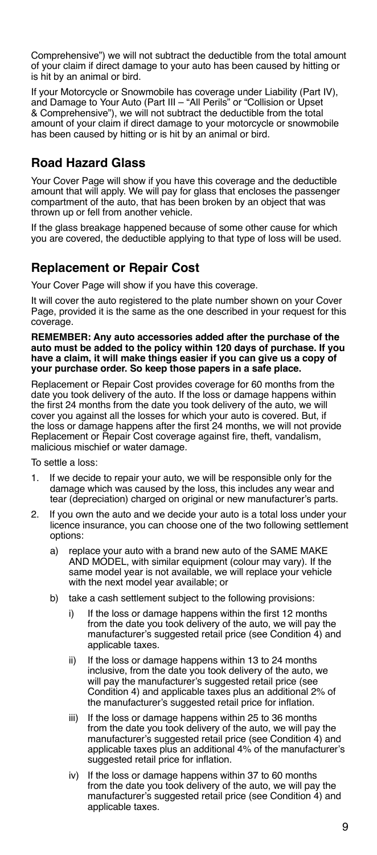<span id="page-14-0"></span>Comprehensive") we will not subtract the deductible from the total amount of your claim if direct damage to your auto has been caused by hitting or is hit by an animal or bird.

If your Motorcycle or Snowmobile has coverage under Liability (Part IV), and Damage to Your Auto (Part III – "All Perils" or "Collision or Upset & Comprehensive"), we will not subtract the deductible from the total amount of your claim if direct damage to your motorcycle or snowmobile has been caused by hitting or is hit by an animal or bird.

### **Road Hazard Glass**

Your Cover Page will show if you have this coverage and the deductible amount that will apply. We will pay for glass that encloses the passenger compartment of the auto, that has been broken by an object that was thrown up or fell from another vehicle.

If the glass breakage happened because of some other cause for which you are covered, the deductible applying to that type of loss will be used.

### **Replacement or Repair Cost**

Your Cover Page will show if you have this coverage.

It will cover the auto registered to the plate number shown on your Cover Page, provided it is the same as the one described in your request for this coverage.

#### **REMEMBER: Any auto accessories added after the purchase of the auto must be added to the policy within 120 days of purchase. If you have a claim, it will make things easier if you can give us a copy of your purchase order. So keep those papers in a safe place.**

Replacement or Repair Cost provides coverage for 60 months from the date you took delivery of the auto. If the loss or damage happens within the first 24 months from the date you took delivery of the auto, we will cover you against all the losses for which your auto is covered. But, if the loss or damage happens after the first 24 months, we will not provide Replacement or Repair Cost coverage against fire, theft, vandalism, malicious mischief or water damage.

To settle a loss:

- If we decide to repair your auto, we will be responsible only for the damage which was caused by the loss, this includes any wear and tear (depreciation) charged on original or new manufacturer's parts.
- 2. If you own the auto and we decide your auto is a total loss under your licence insurance, you can choose one of the two following settlement options:
	- a) replace your auto with a brand new auto of the SAME MAKE AND MODEL, with similar equipment (colour may vary). If the same model year is not available, we will replace your vehicle with the next model year available; or
	- b) take a cash settlement subject to the following provisions:
		- i) If the loss or damage happens within the first 12 months from the date you took delivery of the auto, we will pay the manufacturer's suggested retail price (see Condition 4) and applicable taxes.
		- ii) If the loss or damage happens within 13 to 24 months inclusive, from the date you took delivery of the auto, we will pay the manufacturer's suggested retail price (see Condition 4) and applicable taxes plus an additional 2% of the manufacturer's suggested retail price for inflation.
		- iii) If the loss or damage happens within 25 to 36 months from the date you took delivery of the auto, we will pay the manufacturer's suggested retail price (see Condition 4) and applicable taxes plus an additional 4% of the manufacturer's suggested retail price for inflation.
		- iv) If the loss or damage happens within 37 to 60 months from the date you took delivery of the auto, we will pay the manufacturer's suggested retail price (see Condition 4) and applicable taxes.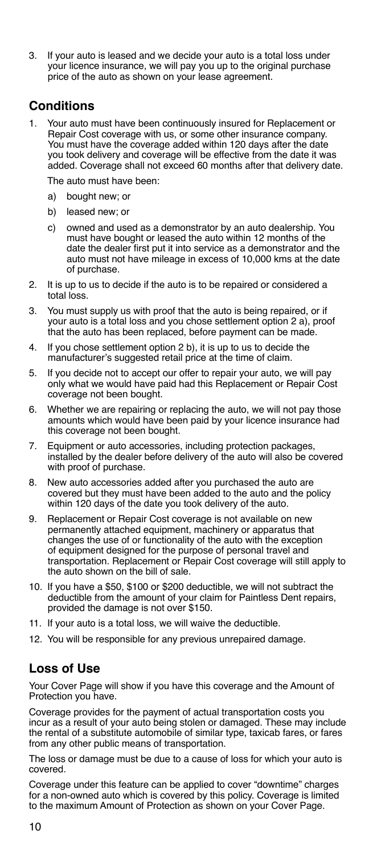<span id="page-15-0"></span>3. If your auto is leased and we decide your auto is a total loss under your licence insurance, we will pay you up to the original purchase price of the auto as shown on your lease agreement.

### **Conditions**

1. Your auto must have been continuously insured for Replacement or Repair Cost coverage with us, or some other insurance company. You must have the coverage added within 120 days after the date you took delivery and coverage will be effective from the date it was added. Coverage shall not exceed 60 months after that delivery date.

The auto must have been:

- a) bought new; or
- b) leased new; or
- c) owned and used as a demonstrator by an auto dealership. You must have bought or leased the auto within 12 months of the date the dealer first put it into service as a demonstrator and the auto must not have mileage in excess of 10,000 kms at the date of purchase.
- 2. It is up to us to decide if the auto is to be repaired or considered a total loss.
- 3. You must supply us with proof that the auto is being repaired, or if your auto is a total loss and you chose settlement option 2 a), proof that the auto has been replaced, before payment can be made.
- 4. If you chose settlement option 2 b), it is up to us to decide the manufacturer's suggested retail price at the time of claim.
- 5. If you decide not to accept our offer to repair your auto, we will pay only what we would have paid had this Replacement or Repair Cost coverage not been bought.
- 6. Whether we are repairing or replacing the auto, we will not pay those amounts which would have been paid by your licence insurance had this coverage not been bought.
- 7. Equipment or auto accessories, including protection packages, installed by the dealer before delivery of the auto will also be covered with proof of purchase.
- 8. New auto accessories added after you purchased the auto are covered but they must have been added to the auto and the policy within 120 days of the date you took delivery of the auto.
- 9. Replacement or Repair Cost coverage is not available on new permanently attached equipment, machinery or apparatus that changes the use of or functionality of the auto with the exception of equipment designed for the purpose of personal travel and transportation. Replacement or Repair Cost coverage will still apply to the auto shown on the bill of sale.
- 10. If you have a \$50, \$100 or \$200 deductible, we will not subtract the deductible from the amount of your claim for Paintless Dent repairs, provided the damage is not over \$150.
- 11. If your auto is a total loss, we will waive the deductible.
- 12. You will be responsible for any previous unrepaired damage.

### **Loss of Use**

Your Cover Page will show if you have this coverage and the Amount of Protection you have.

Coverage provides for the payment of actual transportation costs you incur as a result of your auto being stolen or damaged. These may include the rental of a substitute automobile of similar type, taxicab fares, or fares from any other public means of transportation.

The loss or damage must be due to a cause of loss for which your auto is covered.

Coverage under this feature can be applied to cover "downtime" charges for a non-owned auto which is covered by this policy. Coverage is limited to the maximum Amount of Protection as shown on your Cover Page.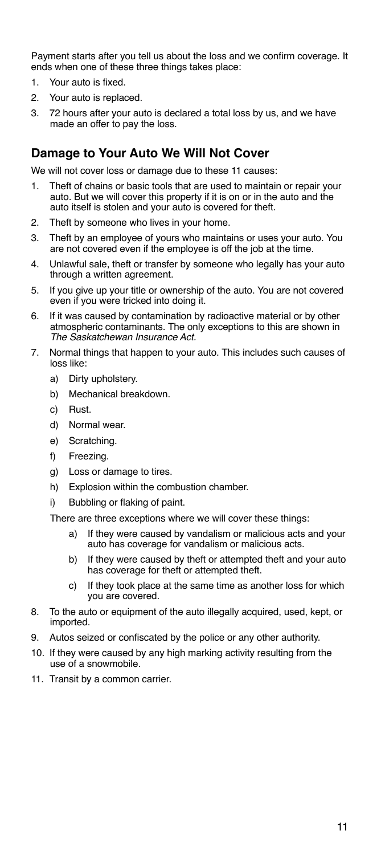<span id="page-16-0"></span>Payment starts after you tell us about the loss and we confirm coverage. It ends when one of these three things takes place:

- 1. Your auto is fixed.
- 2. Your auto is replaced.
- 3. 72 hours after your auto is declared a total loss by us, and we have made an offer to pay the loss.

### **Damage to Your Auto We Will Not Cover**

We will not cover loss or damage due to these 11 causes:

- 1. Theft of chains or basic tools that are used to maintain or repair your auto. But we will cover this property if it is on or in the auto and the auto itself is stolen and your auto is covered for theft.
- 2. Theft by someone who lives in your home.
- 3. Theft by an employee of yours who maintains or uses your auto. You are not covered even if the employee is off the job at the time.
- 4. Unlawful sale, theft or transfer by someone who legally has your auto through a written agreement.
- 5. If you give up your title or ownership of the auto. You are not covered even if you were tricked into doing it.
- 6. If it was caused by contamination by radioactive material or by other atmospheric contaminants. The only exceptions to this are shown in *The Saskatchewan Insurance Act.*
- 7. Normal things that happen to your auto. This includes such causes of loss like:
	- a) Dirty upholstery.
	- b) Mechanical breakdown.
	- c) Rust.
	- d) Normal wear.
	- e) Scratching.
	- f) Freezing.
	- g) Loss or damage to tires.
	- h) Explosion within the combustion chamber.
	- i) Bubbling or flaking of paint.

There are three exceptions where we will cover these things:

- a) If they were caused by vandalism or malicious acts and your auto has coverage for vandalism or malicious acts.
- b) If they were caused by theft or attempted theft and your auto has coverage for theft or attempted theft.
- c) If they took place at the same time as another loss for which you are covered.
- 8. To the auto or equipment of the auto illegally acquired, used, kept, or imported.
- 9. Autos seized or confiscated by the police or any other authority.
- 10. If they were caused by any high marking activity resulting from the use of a snowmobile.
- 11. Transit by a common carrier.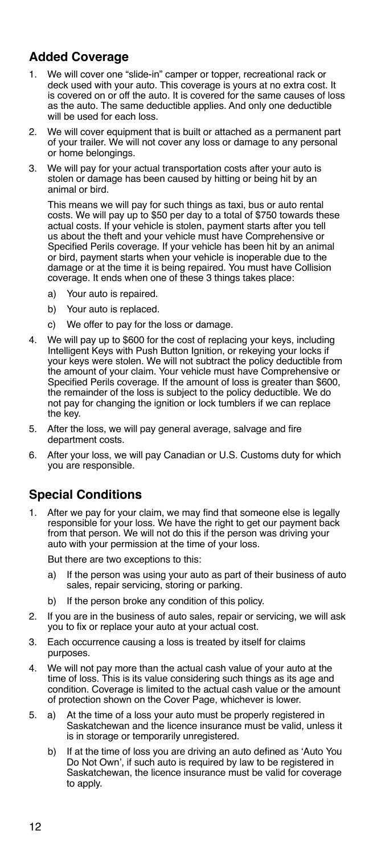# <span id="page-17-0"></span>**Added Coverage**

- 1. We will cover one "slide-in" camper or topper, recreational rack or deck used with your auto. This coverage is yours at no extra cost. It is covered on or off the auto. It is covered for the same causes of loss as the auto. The same deductible applies. And only one deductible will be used for each loss.
- 2. We will cover equipment that is built or attached as a permanent part of your trailer. We will not cover any loss or damage to any personal or home belongings.
- 3. We will pay for your actual transportation costs after your auto is stolen or damage has been caused by hitting or being hit by an animal or bird.

This means we will pay for such things as taxi, bus or auto rental costs. We will pay up to \$50 per day to a total of \$750 towards these actual costs. If your vehicle is stolen, payment starts after you tell us about the theft and your vehicle must have Comprehensive or Specified Perils coverage. If your vehicle has been hit by an animal or bird, payment starts when your vehicle is inoperable due to the damage or at the time it is being repaired. You must have Collision coverage. It ends when one of these 3 things takes place:

- a) Your auto is repaired.
- b) Your auto is replaced.
- c) We offer to pay for the loss or damage.
- 4. We will pay up to \$600 for the cost of replacing your keys, including Intelligent Keys with Push Button Ignition, or rekeying your locks if your keys were stolen. We will not subtract the policy deductible from the amount of your claim. Your vehicle must have Comprehensive or Specified Perils coverage. If the amount of loss is greater than \$600, the remainder of the loss is subject to the policy deductible. We do not pay for changing the ignition or lock tumblers if we can replace the key.
- 5. After the loss, we will pay general average, salvage and fire department costs.
- 6. After your loss, we will pay Canadian or U.S. Customs duty for which you are responsible.

# **Special Conditions**

1. After we pay for your claim, we may find that someone else is legally responsible for your loss. We have the right to get our payment back from that person. We will not do this if the person was driving your auto with your permission at the time of your loss.

But there are two exceptions to this:

- a) If the person was using your auto as part of their business of auto sales, repair servicing, storing or parking.
- b) If the person broke any condition of this policy.
- 2. If you are in the business of auto sales, repair or servicing, we will ask you to fix or replace your auto at your actual cost.
- 3. Each occurrence causing a loss is treated by itself for claims purposes.
- 4. We will not pay more than the actual cash value of your auto at the time of loss. This is its value considering such things as its age and condition. Coverage is limited to the actual cash value or the amount of protection shown on the Cover Page, whichever is lower.
- 5. a) At the time of a loss your auto must be properly registered in Saskatchewan and the licence insurance must be valid, unless it is in storage or temporarily unregistered.
	- b) If at the time of loss you are driving an auto defined as 'Auto You Do Not Own', if such auto is required by law to be registered in Saskatchewan, the licence insurance must be valid for coverage to apply.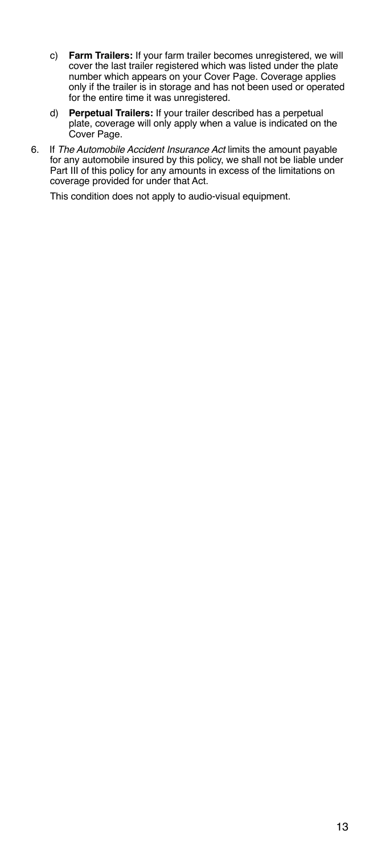- c) **Farm Trailers:** If your farm trailer becomes unregistered, we will cover the last trailer registered which was listed under the plate number which appears on your Cover Page. Coverage applies only if the trailer is in storage and has not been used or operated for the entire time it was unregistered.
- d) **Perpetual Trailers:** If your trailer described has a perpetual plate, coverage will only apply when a value is indicated on the Cover Page.
- 6. If *The Automobile Accident Insurance Act* limits the amount payable for any automobile insured by this policy, we shall not be liable under Part III of this policy for any amounts in excess of the limitations on coverage provided for under that Act.

This condition does not apply to audio-visual equipment.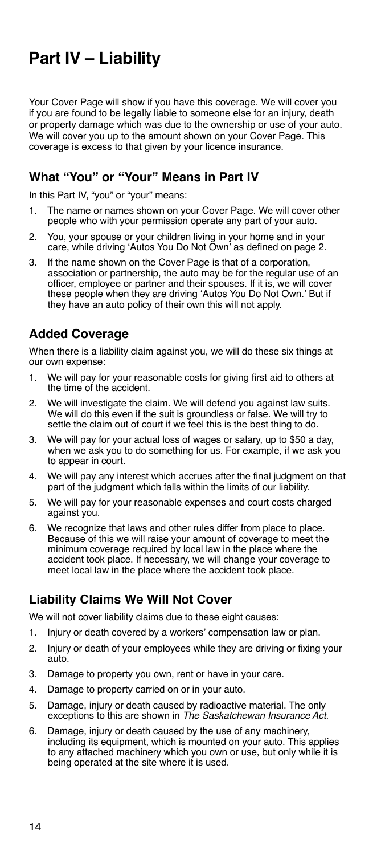# <span id="page-19-0"></span>**Part IV – Liability**

Your Cover Page will show if you have this coverage. We will cover you if you are found to be legally liable to someone else for an injury, death or property damage which was due to the ownership or use of your auto. We will cover you up to the amount shown on your Cover Page. This coverage is excess to that given by your licence insurance.

# **What "You" or "Your" Means in Part IV**

In this Part IV, "you" or "your" means:

- 1. The name or names shown on your Cover Page. We will cover other people who with your permission operate any part of your auto.
- 2. You, your spouse or your children living in your home and in your care, while driving 'Autos You Do Not Own' as defined on page 2.
- 3. If the name shown on the Cover Page is that of a corporation, association or partnership, the auto may be for the regular use of an officer, employee or partner and their spouses. If it is, we will cover these people when they are driving 'Autos You Do Not Own.' But if they have an auto policy of their own this will not apply.

# **Added Coverage**

When there is a liability claim against you, we will do these six things at our own expense:

- 1. We will pay for your reasonable costs for giving first aid to others at the time of the accident.
- 2. We will investigate the claim. We will defend you against law suits. We will do this even if the suit is groundless or false. We will try to settle the claim out of court if we feel this is the best thing to do.
- 3. We will pay for your actual loss of wages or salary, up to \$50 a day, when we ask you to do something for us. For example, if we ask you to appear in court.
- 4. We will pay any interest which accrues after the final judgment on that part of the judgment which falls within the limits of our liability.
- 5. We will pay for your reasonable expenses and court costs charged against you.
- 6. We recognize that laws and other rules differ from place to place. Because of this we will raise your amount of coverage to meet the minimum coverage required by local law in the place where the accident took place. If necessary, we will change your coverage to meet local law in the place where the accident took place.

### **Liability Claims We Will Not Cover**

We will not cover liability claims due to these eight causes:

- 1. Injury or death covered by a workers' compensation law or plan.
- 2. Injury or death of your employees while they are driving or fixing your auto.
- 3. Damage to property you own, rent or have in your care.
- 4. Damage to property carried on or in your auto.
- 5. Damage, injury or death caused by radioactive material. The only exceptions to this are shown in *The Saskatchewan Insurance Act*.
- 6. Damage, injury or death caused by the use of any machinery, including its equipment, which is mounted on your auto. This applies to any attached machinery which you own or use, but only while it is being operated at the site where it is used.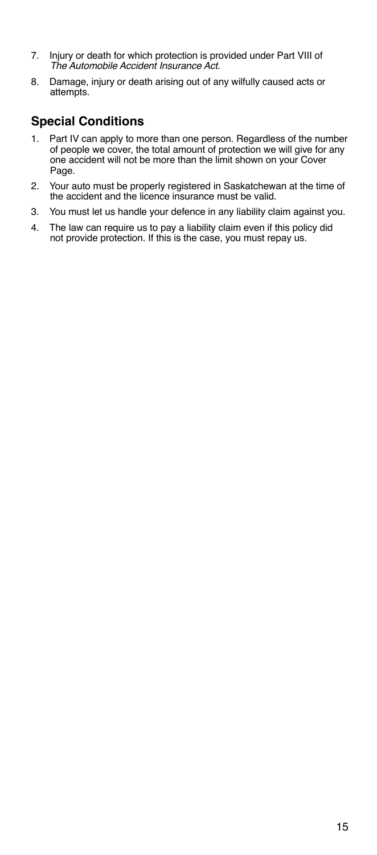- <span id="page-20-0"></span>7. Injury or death for which protection is provided under Part VIII of *The Automobile Accident Insurance Act*.
- 8. Damage, injury or death arising out of any wilfully caused acts or attempts.

# **Special Conditions**

- 1. Part IV can apply to more than one person. Regardless of the number of people we cover, the total amount of protection we will give for any one accident will not be more than the limit shown on your Cover Page.
- 2. Your auto must be properly registered in Saskatchewan at the time of the accident and the licence insurance must be valid.
- 3. You must let us handle your defence in any liability claim against you.
- 4. The law can require us to pay a liability claim even if this policy did not provide protection. If this is the case, you must repay us.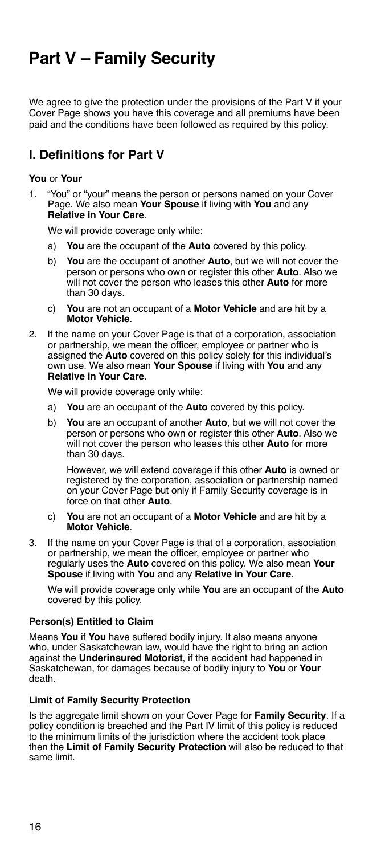# <span id="page-21-0"></span>**Part V – Family Security**

We agree to give the protection under the provisions of the Part V if your Cover Page shows you have this coverage and all premiums have been paid and the conditions have been followed as required by this policy.

### **I. Definitions for Part V**

### **You** or **Your**

1. "You" or "your" means the person or persons named on your Cover Page. We also mean **Your Spouse** if living with **You** and any **Relative in Your Care**.

We will provide coverage only while:

- a) **You** are the occupant of the **Auto** covered by this policy.
- b) **You** are the occupant of another **Auto**, but we will not cover the person or persons who own or register this other **Auto**. Also we will not cover the person who leases this other **Auto** for more than 30 days.
- c) **You** are not an occupant of a **Motor Vehicle** and are hit by a **Motor Vehicle**.
- 2. If the name on your Cover Page is that of a corporation, association or partnership, we mean the officer, employee or partner who is assigned the **Auto** covered on this policy solely for this individual's own use. We also mean **Your Spouse** if living with **You** and any **Relative in Your Care**.

We will provide coverage only while:

- a) **You** are an occupant of the **Auto** covered by this policy.
- b) **You** are an occupant of another **Auto**, but we will not cover the person or persons who own or register this other **Auto**. Also we will not cover the person who leases this other **Auto** for more than 30 days.

However, we will extend coverage if this other **Auto** is owned or registered by the corporation, association or partnership named on your Cover Page but only if Family Security coverage is in force on that other **Auto**.

- c) **You** are not an occupant of a **Motor Vehicle** and are hit by a **Motor Vehicle**.
- 3. If the name on your Cover Page is that of a corporation, association or partnership, we mean the officer, employee or partner who regularly uses the **Auto** covered on this policy. We also mean **Your Spouse** if living with **You** and any **Relative in Your Care**.

We will provide coverage only while **You** are an occupant of the **Auto** covered by this policy.

### **Person(s) Entitled to Claim**

Means **You** if **You** have suffered bodily injury. It also means anyone who, under Saskatchewan law, would have the right to bring an action against the **Underinsured Motorist**, if the accident had happened in Saskatchewan, for damages because of bodily injury to **You** or **Your** death.

### **Limit of Family Security Protection**

Is the aggregate limit shown on your Cover Page for **Family Security**. If a policy condition is breached and the Part IV limit of this policy is reduced to the minimum limits of the jurisdiction where the accident took place then the **Limit of Family Security Protection** will also be reduced to that same limit.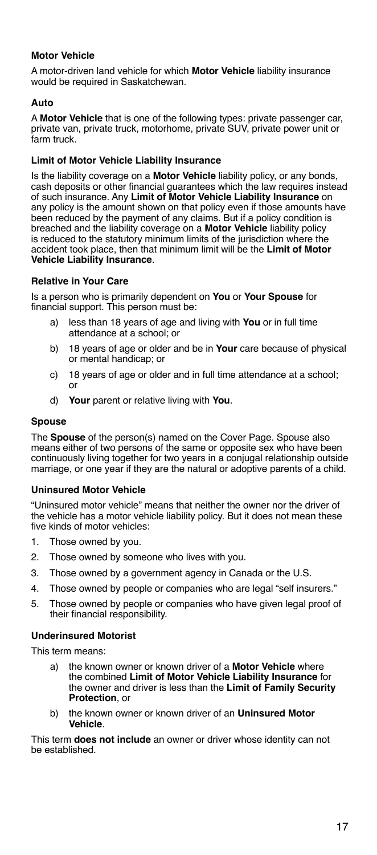### <span id="page-22-0"></span>**Motor Vehicle**

A motor-driven land vehicle for which **Motor Vehicle** liability insurance would be required in Saskatchewan.

### **Auto**

A **Motor Vehicle** that is one of the following types: private passenger car, private van, private truck, motorhome, private SUV, private power unit or farm truck.

### **Limit of Motor Vehicle Liability Insurance**

Is the liability coverage on a **Motor Vehicle** liability policy, or any bonds, cash deposits or other financial guarantees which the law requires instead of such insurance. Any **Limit of Motor Vehicle Liability Insurance** on any policy is the amount shown on that policy even if those amounts have been reduced by the payment of any claims. But if a policy condition is breached and the liability coverage on a **Motor Vehicle** liability policy is reduced to the statutory minimum limits of the jurisdiction where the accident took place, then that minimum limit will be the **Limit of Motor Vehicle Liability Insurance**.

### **Relative in Your Care**

Is a person who is primarily dependent on **You** or **Your Spouse** for financial support. This person must be:

- a) less than 18 years of age and living with **You** or in full time attendance at a school; or
- b) 18 years of age or older and be in **Your** care because of physical or mental handicap; or
- c) 18 years of age or older and in full time attendance at a school; or
- d) **Your** parent or relative living with **You**.

### **Spouse**

The **Spouse** of the person(s) named on the Cover Page. Spouse also means either of two persons of the same or opposite sex who have been continuously living together for two years in a conjugal relationship outside marriage, or one year if they are the natural or adoptive parents of a child.

### **Uninsured Motor Vehicle**

"Uninsured motor vehicle" means that neither the owner nor the driver of the vehicle has a motor vehicle liability policy. But it does not mean these five kinds of motor vehicles:

- 1. Those owned by you.
- 2. Those owned by someone who lives with you.
- 3. Those owned by a government agency in Canada or the U.S.
- 4. Those owned by people or companies who are legal "self insurers."
- 5. Those owned by people or companies who have given legal proof of their financial responsibility.

### **Underinsured Motorist**

This term means:

- a) the known owner or known driver of a **Motor Vehicle** where the combined **Limit of Motor Vehicle Liability Insurance** for the owner and driver is less than the **Limit of Family Security Protection**, or
- b) the known owner or known driver of an **Uninsured Motor Vehicle**.

This term **does not include** an owner or driver whose identity can not be established.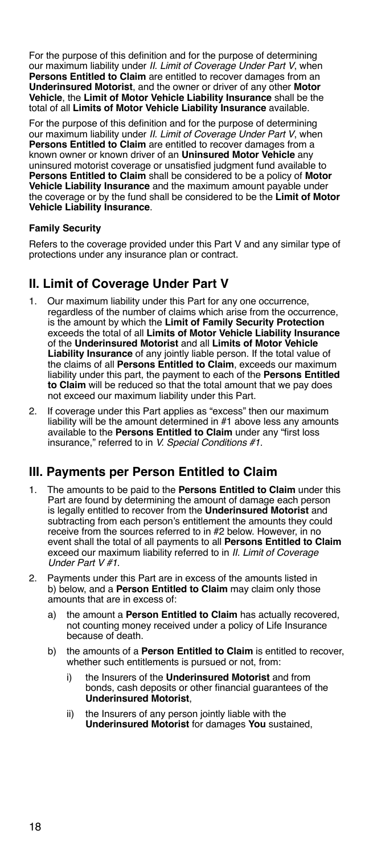<span id="page-23-0"></span>For the purpose of this definition and for the purpose of determining our maximum liability under *II. Limit of Coverage Under Part V*, when **Persons Entitled to Claim** are entitled to recover damages from an **Underinsured Motorist**, and the owner or driver of any other **Motor Vehicle**, the **Limit of Motor Vehicle Liability Insurance** shall be the total of all **Limits of Motor Vehicle Liability Insurance** available.

For the purpose of this definition and for the purpose of determining our maximum liability under *II. Limit of Coverage Under Part V*, when **Persons Entitled to Claim** are entitled to recover damages from a known owner or known driver of an **Uninsured Motor Vehicle** any uninsured motorist coverage or unsatisfied judgment fund available to **Persons Entitled to Claim** shall be considered to be a policy of **Motor Vehicle Liability Insurance** and the maximum amount payable under the coverage or by the fund shall be considered to be the **Limit of Motor Vehicle Liability Insurance**.

### **Family Security**

Refers to the coverage provided under this Part V and any similar type of protections under any insurance plan or contract.

# **II. Limit of Coverage Under Part V**

- 1. Our maximum liability under this Part for any one occurrence, regardless of the number of claims which arise from the occurrence, is the amount by which the **Limit of Family Security Protection**  exceeds the total of all **Limits of Motor Vehicle Liability Insurance** of the **Underinsured Motorist** and all **Limits of Motor Vehicle Liability Insurance** of any jointly liable person. If the total value of the claims of all **Persons Entitled to Claim**, exceeds our maximum liability under this part, the payment to each of the **Persons Entitled to Claim** will be reduced so that the total amount that we pay does not exceed our maximum liability under this Part.
- 2. If coverage under this Part applies as "excess" then our maximum liability will be the amount determined in #1 above less any amounts available to the **Persons Entitled to Claim** under any "first loss insurance," referred to in *V. Special Conditions #1.*

### **III. Payments per Person Entitled to Claim**

- 1. The amounts to be paid to the **Persons Entitled to Claim** under this Part are found by determining the amount of damage each person is legally entitled to recover from the **Underinsured Motorist** and subtracting from each person's entitlement the amounts they could receive from the sources referred to in #2 below. However, in no event shall the total of all payments to all **Persons Entitled to Claim** exceed our maximum liability referred to in *II. Limit of Coverage Under Part V #1.*
- 2. Payments under this Part are in excess of the amounts listed in b) below, and a **Person Entitled to Claim** may claim only those amounts that are in excess of:
	- a) the amount a **Person Entitled to Claim** has actually recovered, not counting money received under a policy of Life Insurance because of death.
	- b) the amounts of a **Person Entitled to Claim** is entitled to recover, whether such entitlements is pursued or not, from:
		- i) the Insurers of the **Underinsured Motorist** and from bonds, cash deposits or other financial guarantees of the **Underinsured Motorist**,
		- ii) the Insurers of any person jointly liable with the **Underinsured Motorist** for damages **You** sustained,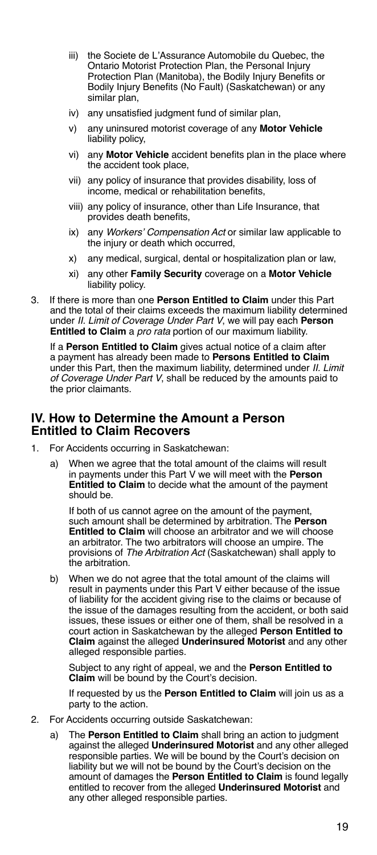- <span id="page-24-0"></span>iii) the Societe de L'Assurance Automobile du Quebec, the Ontario Motorist Protection Plan, the Personal Injury Protection Plan (Manitoba), the Bodily Injury Benefits or Bodily Injury Benefits (No Fault) (Saskatchewan) or any similar plan.
- iv) any unsatisfied judgment fund of similar plan,
- v) any uninsured motorist coverage of any **Motor Vehicle**  liability policy,
- vi) any **Motor Vehicle** accident benefits plan in the place where the accident took place,
- vii) any policy of insurance that provides disability, loss of income, medical or rehabilitation benefits,
- viii) any policy of insurance, other than Life Insurance, that provides death benefits,
- ix) any *Workers' Compensation Act* or similar law applicable to the injury or death which occurred,
- x) any medical, surgical, dental or hospitalization plan or law,
- xi) any other **Family Security** coverage on a **Motor Vehicle**  liability policy.
- 3. If there is more than one **Person Entitled to Claim** under this Part and the total of their claims exceeds the maximum liability determined under *II. Limit of Coverage Under Part V*, we will pay each **Person Entitled to Claim** a *pro rata* portion of our maximum liability.

If a **Person Entitled to Claim** gives actual notice of a claim after a payment has already been made to **Persons Entitled to Claim** under this Part, then the maximum liability, determined under *II. Limit of Coverage Under Part V*, shall be reduced by the amounts paid to the prior claimants.

### **IV. How to Determine the Amount a Person Entitled to Claim Recovers**

- 1. For Accidents occurring in Saskatchewan:
	- a) When we agree that the total amount of the claims will result in payments under this Part V we will meet with the **Person Entitled to Claim** to decide what the amount of the payment should be.

If both of us cannot agree on the amount of the payment, such amount shall be determined by arbitration. The **Person Entitled to Claim** will choose an arbitrator and we will choose an arbitrator. The two arbitrators will choose an umpire. The provisions of *The Arbitration Act* (Saskatchewan) shall apply to the arbitration.

b) When we do not agree that the total amount of the claims will result in payments under this Part V either because of the issue of liability for the accident giving rise to the claims or because of the issue of the damages resulting from the accident, or both said issues, these issues or either one of them, shall be resolved in a court action in Saskatchewan by the alleged **Person Entitled to Claim** against the alleged **Underinsured Motorist** and any other alleged responsible parties.

Subject to any right of appeal, we and the **Person Entitled to Claim** will be bound by the Court's decision.

If requested by us the **Person Entitled to Claim** will join us as a party to the action.

- 2. For Accidents occurring outside Saskatchewan:
	- a) The **Person Entitled to Claim** shall bring an action to judgment against the alleged **Underinsured Motorist** and any other alleged responsible parties. We will be bound by the Court's decision on liability but we will not be bound by the Court's decision on the amount of damages the **Person Entitled to Claim** is found legally entitled to recover from the alleged **Underinsured Motorist** and any other alleged responsible parties.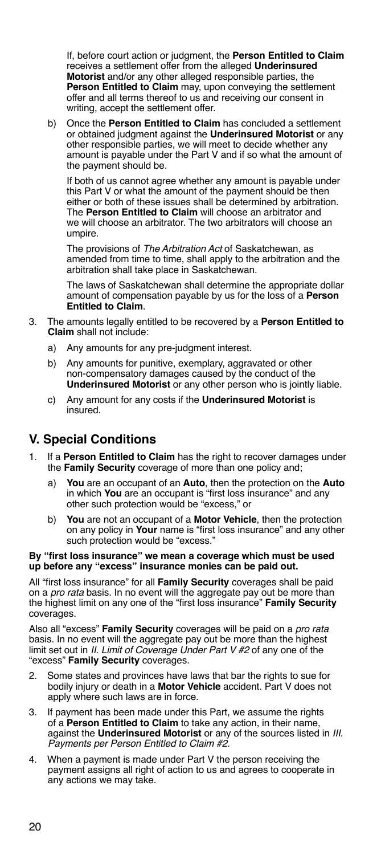<span id="page-25-0"></span>If, before court action or judgment, the **Person Entitled to Claim** receives a settlement offer from the alleged **Underinsured Motorist** and/or any other alleged responsible parties, the **Person Entitled to Claim** may, upon conveying the settlement offer and all terms thereof to us and receiving our consent in writing, accept the settlement offer.

b) Once the **Person Entitled to Claim** has concluded a settlement or obtained judgment against the **Underinsured Motorist** or any other responsible parties, we will meet to decide whether any amount is payable under the Part V and if so what the amount of the payment should be.

If both of us cannot agree whether any amount is payable under this Part V or what the amount of the payment should be then either or both of these issues shall be determined by arbitration. The **Person Entitled to Claim** will choose an arbitrator and we will choose an arbitrator. The two arbitrators will choose an umpire.

The provisions of *The Arbitration Act* of Saskatchewan, as amended from time to time, shall apply to the arbitration and the arbitration shall take place in Saskatchewan.

The laws of Saskatchewan shall determine the appropriate dollar amount of compensation payable by us for the loss of a **Person Entitled to Claim**.

- 3. The amounts legally entitled to be recovered by a **Person Entitled to Claim** shall not include:
	- a) Any amounts for any pre-judgment interest.
	- b) Any amounts for punitive, exemplary, aggravated or other non-compensatory damages caused by the conduct of the **Underinsured Motorist** or any other person who is jointly liable.
	- c) Any amount for any costs if the **Underinsured Motorist** is insured.

# **V. Special Conditions**

- 1. If a **Person Entitled to Claim** has the right to recover damages under the **Family Security** coverage of more than one policy and;
	- a) **You** are an occupant of an **Auto**, then the protection on the **Auto** in which **You** are an occupant is "first loss insurance" and any other such protection would be "excess," or
	- b) **You** are not an occupant of a **Motor Vehicle**, then the protection on any policy in **Your** name is "first loss insurance" and any other such protection would be "excess."

### **By "first loss insurance" we mean a coverage which must be used up before any "excess" insurance monies can be paid out.**

All "first loss insurance" for all **Family Security** coverages shall be paid on a *pro rata* basis. In no event will the aggregate pay out be more than the highest limit on any one of the "first loss insurance" **Family Security**  coverages.

Also all "excess" **Family Security** coverages will be paid on a *pro rata* basis. In no event will the aggregate pay out be more than the highest limit set out in *II. Limit of Coverage Under Part V #2* of any one of the "excess" **Family Security** coverages.

- 2. Some states and provinces have laws that bar the rights to sue for bodily injury or death in a **Motor Vehicle** accident. Part V does not apply where such laws are in force.
- 3. If payment has been made under this Part, we assume the rights of a **Person Entitled to Claim** to take any action, in their name, against the **Underinsured Motorist** or any of the sources listed in *III. Payments per Person Entitled to Claim #2.*
- 4. When a payment is made under Part V the person receiving the payment assigns all right of action to us and agrees to cooperate in any actions we may take.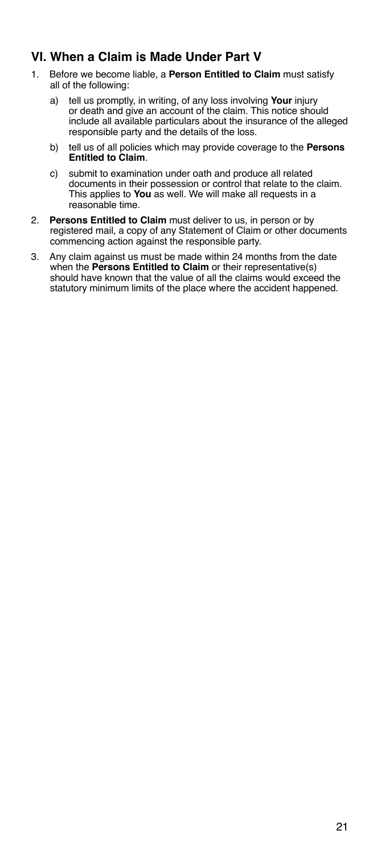# <span id="page-26-0"></span>**VI. When a Claim is Made Under Part V**

- 1. Before we become liable, a **Person Entitled to Claim** must satisfy all of the following:
	- a) tell us promptly, in writing, of any loss involving **Your** injury or death and give an account of the claim. This notice should include all available particulars about the insurance of the alleged responsible party and the details of the loss.
	- b) tell us of all policies which may provide coverage to the **Persons Entitled to Claim**.
	- c) submit to examination under oath and produce all related documents in their possession or control that relate to the claim. This applies to **You** as well. We will make all requests in a reasonable time.
- 2. **Persons Entitled to Claim** must deliver to us, in person or by registered mail, a copy of any Statement of Claim or other documents commencing action against the responsible party.
- 3. Any claim against us must be made within 24 months from the date when the **Persons Entitled to Claim** or their representative(s) should have known that the value of all the claims would exceed the statutory minimum limits of the place where the accident happened.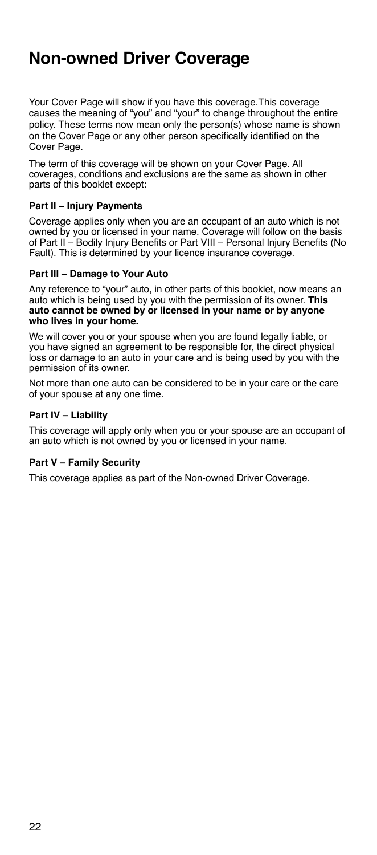# <span id="page-27-0"></span>**Non-owned Driver Coverage**

Your Cover Page will show if you have this coverage.This coverage causes the meaning of "you" and "your" to change throughout the entire policy. These terms now mean only the person(s) whose name is shown on the Cover Page or any other person specifically identified on the Cover Page.

The term of this coverage will be shown on your Cover Page. All coverages, conditions and exclusions are the same as shown in other parts of this booklet except:

### **Part II – Injury Payments**

Coverage applies only when you are an occupant of an auto which is not owned by you or licensed in your name. Coverage will follow on the basis of Part II – Bodily Injury Benefits or Part VIII – Personal Injury Benefits (No Fault). This is determined by your licence insurance coverage.

### **Part III – Damage to Your Auto**

Any reference to "your" auto, in other parts of this booklet, now means an auto which is being used by you with the permission of its owner. **This auto cannot be owned by or licensed in your name or by anyone who lives in your home.**

We will cover you or your spouse when you are found legally liable, or you have signed an agreement to be responsible for, the direct physical loss or damage to an auto in your care and is being used by you with the permission of its owner.

Not more than one auto can be considered to be in your care or the care of your spouse at any one time.

### **Part IV – Liability**

This coverage will apply only when you or your spouse are an occupant of an auto which is not owned by you or licensed in your name.

### **Part V – Family Security**

This coverage applies as part of the Non-owned Driver Coverage.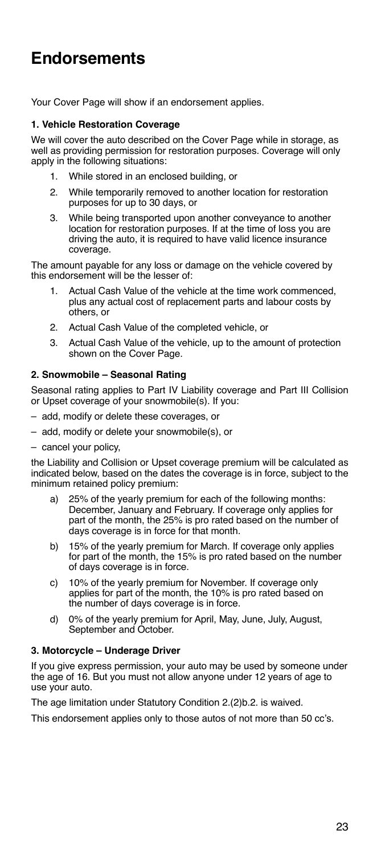# <span id="page-28-0"></span>**Endorsements**

Your Cover Page will show if an endorsement applies.

### **1. Vehicle Restoration Coverage**

We will cover the auto described on the Cover Page while in storage, as well as providing permission for restoration purposes. Coverage will only apply in the following situations:

- 1. While stored in an enclosed building, or
- 2. While temporarily removed to another location for restoration purposes for up to 30 days, or
- 3. While being transported upon another conveyance to another location for restoration purposes. If at the time of loss you are driving the auto, it is required to have valid licence insurance coverage.

The amount payable for any loss or damage on the vehicle covered by this endorsement will be the lesser of:

- Actual Cash Value of the vehicle at the time work commenced. plus any actual cost of replacement parts and labour costs by others, or
- 2. Actual Cash Value of the completed vehicle, or
- 3. Actual Cash Value of the vehicle, up to the amount of protection shown on the Cover Page.

### **2. Snowmobile – Seasonal Rating**

Seasonal rating applies to Part IV Liability coverage and Part III Collision or Upset coverage of your snowmobile(s). If you:

- add, modify or delete these coverages, or
- add, modify or delete your snowmobile(s), or
- cancel your policy,

the Liability and Collision or Upset coverage premium will be calculated as indicated below, based on the dates the coverage is in force, subject to the minimum retained policy premium:

- a) 25% of the yearly premium for each of the following months: December, January and February. If coverage only applies for part of the month, the 25% is pro rated based on the number of days coverage is in force for that month.
- b) 15% of the yearly premium for March. If coverage only applies for part of the month, the 15% is pro rated based on the number of days coverage is in force.
- c) 10% of the yearly premium for November. If coverage only applies for part of the month, the 10% is pro rated based on the number of days coverage is in force.
- d) 0% of the yearly premium for April, May, June, July, August, September and October.

### **3. Motorcycle – Underage Driver**

If you give express permission, your auto may be used by someone under the age of 16. But you must not allow anyone under 12 years of age to use your auto.

The age limitation under Statutory Condition 2.(2)b.2. is waived.

This endorsement applies only to those autos of not more than 50 cc's.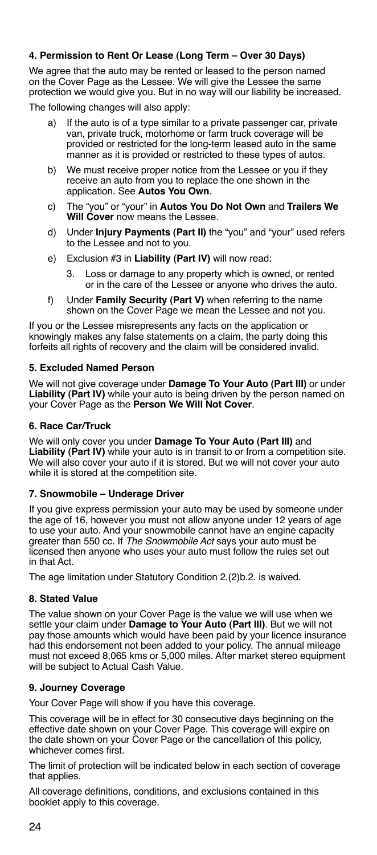### <span id="page-29-0"></span>**4. Permission to Rent Or Lease (Long Term – Over 30 Days)**

We agree that the auto may be rented or leased to the person named on the Cover Page as the Lessee. We will give the Lessee the same protection we would give you. But in no way will our liability be increased.

The following changes will also apply:

- a) If the auto is of a type similar to a private passenger car, private van, private truck, motorhome or farm truck coverage will be provided or restricted for the long-term leased auto in the same manner as it is provided or restricted to these types of autos.
- b) We must receive proper notice from the Lessee or you if they receive an auto from you to replace the one shown in the application. See **Autos You Own**.
- c) The "you" or "your" in **Autos You Do Not Own** and **Trailers We Will Cover** now means the Lessee.
- d) Under **Injury Payments (Part II)** the "you" and "your" used refers to the Lessee and not to you.
- e) Exclusion #3 in **Liability (Part IV)** will now read:
	- 3. Loss or damage to any property which is owned, or rented or in the care of the Lessee or anyone who drives the auto.
- f) Under **Family Security (Part V)** when referring to the name shown on the Cover Page we mean the Lessee and not you.

If you or the Lessee misrepresents any facts on the application or knowingly makes any false statements on a claim, the party doing this forfeits all rights of recovery and the claim will be considered invalid.

### **5. Excluded Named Person**

We will not give coverage under **Damage To Your Auto (Part III)** or under **Liability (Part IV)** while your auto is being driven by the person named on your Cover Page as the **Person We Will Not Cover**.

### **6. Race Car/Truck**

We will only cover you under **Damage To Your Auto (Part III)** and **Liability (Part IV)** while your auto is in transit to or from a competition site. We will also cover your auto if it is stored. But we will not cover your auto while it is stored at the competition site.

### **7. Snowmobile – Underage Driver**

If you give express permission your auto may be used by someone under the age of 16, however you must not allow anyone under 12 years of age to use your auto. And your snowmobile cannot have an engine capacity greater than 550 cc. If *The Snowmobile Act* says your auto must be licensed then anyone who uses your auto must follow the rules set out in that Act.

The age limitation under Statutory Condition 2.(2)b.2. is waived.

### **8. Stated Value**

The value shown on your Cover Page is the value we will use when we settle your claim under **Damage to Your Auto (Part III)**. But we will not pay those amounts which would have been paid by your licence insurance had this endorsement not been added to your policy. The annual mileage must not exceed 8,065 kms or 5,000 miles. After market stereo equipment will be subject to Actual Cash Value.

### **9. Journey Coverage**

Your Cover Page will show if you have this coverage.

This coverage will be in effect for 30 consecutive days beginning on the effective date shown on your Cover Page. This coverage will expire on the date shown on your Cover Page or the cancellation of this policy, whichever comes first.

The limit of protection will be indicated below in each section of coverage that applies.

All coverage definitions, conditions, and exclusions contained in this booklet apply to this coverage.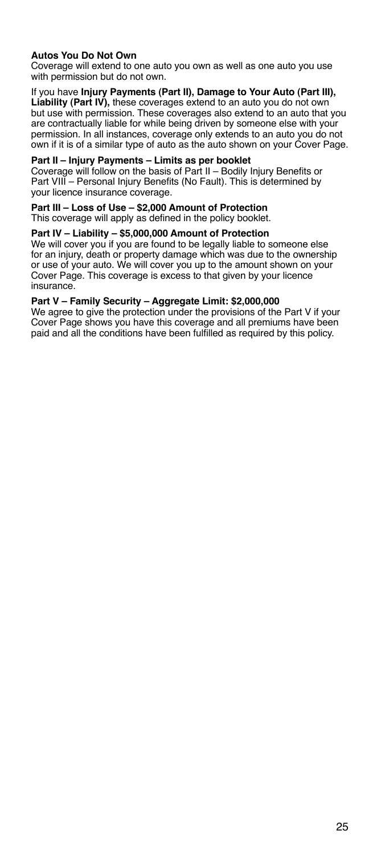### **Autos You Do Not Own**

Coverage will extend to one auto you own as well as one auto you use with permission but do not own.

If you have **Injury Payments (Part II), Damage to Your Auto (Part III), Liability (Part IV),** these coverages extend to an auto you do not own but use with permission. These coverages also extend to an auto that you are contractually liable for while being driven by someone else with your permission. In all instances, coverage only extends to an auto you do not own if it is of a similar type of auto as the auto shown on your Cover Page.

### **Part II – Injury Payments – Limits as per booklet**

Coverage will follow on the basis of Part II – Bodily Injury Benefits or Part VIII – Personal Injury Benefits (No Fault). This is determined by your licence insurance coverage.

#### **Part III – Loss of Use – \$2,000 Amount of Protection**

This coverage will apply as defined in the policy booklet.

#### **Part IV – Liability – \$5,000,000 Amount of Protection**

We will cover you if you are found to be legally liable to someone else for an injury, death or property damage which was due to the ownership or use of your auto. We will cover you up to the amount shown on your Cover Page. This coverage is excess to that given by your licence insurance.

#### **Part V – Family Security – Aggregate Limit: \$2,000,000**

We agree to give the protection under the provisions of the Part V if your Cover Page shows you have this coverage and all premiums have been paid and all the conditions have been fulfilled as required by this policy.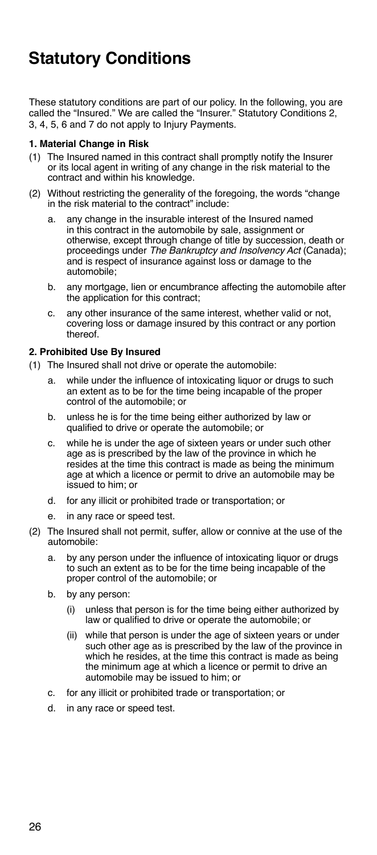# <span id="page-31-0"></span>**Statutory Conditions**

These statutory conditions are part of our policy. In the following, you are called the "Insured." We are called the "Insurer." Statutory Conditions 2, 3, 4, 5, 6 and 7 do not apply to Injury Payments.

### **1. Material Change in Risk**

- (1) The Insured named in this contract shall promptly notify the Insurer or its local agent in writing of any change in the risk material to the contract and within his knowledge.
- (2) Without restricting the generality of the foregoing, the words "change in the risk material to the contract" include:
	- a. any change in the insurable interest of the Insured named in this contract in the automobile by sale, assignment or otherwise, except through change of title by succession, death or proceedings under *The Bankruptcy and Insolvency Act* (Canada); and is respect of insurance against loss or damage to the automobile;
	- b. any mortgage, lien or encumbrance affecting the automobile after the application for this contract;
	- c. any other insurance of the same interest, whether valid or not, covering loss or damage insured by this contract or any portion thereof.

### **2. Prohibited Use By Insured**

- (1) The Insured shall not drive or operate the automobile:
	- a. while under the influence of intoxicating liquor or drugs to such an extent as to be for the time being incapable of the proper control of the automobile; or
	- b. unless he is for the time being either authorized by law or qualified to drive or operate the automobile; or
	- c. while he is under the age of sixteen years or under such other age as is prescribed by the law of the province in which he resides at the time this contract is made as being the minimum age at which a licence or permit to drive an automobile may be issued to him; or
	- d. for any illicit or prohibited trade or transportation; or
	- e. in any race or speed test.
- (2) The Insured shall not permit, suffer, allow or connive at the use of the automobile:
	- a. by any person under the influence of intoxicating liquor or drugs to such an extent as to be for the time being incapable of the proper control of the automobile; or
	- b. by any person:
		- (i) unless that person is for the time being either authorized by law or qualified to drive or operate the automobile; or
		- (ii) while that person is under the age of sixteen years or under such other age as is prescribed by the law of the province in which he resides, at the time this contract is made as being the minimum age at which a licence or permit to drive an automobile may be issued to him; or
	- c. for any illicit or prohibited trade or transportation; or
	- d. in any race or speed test.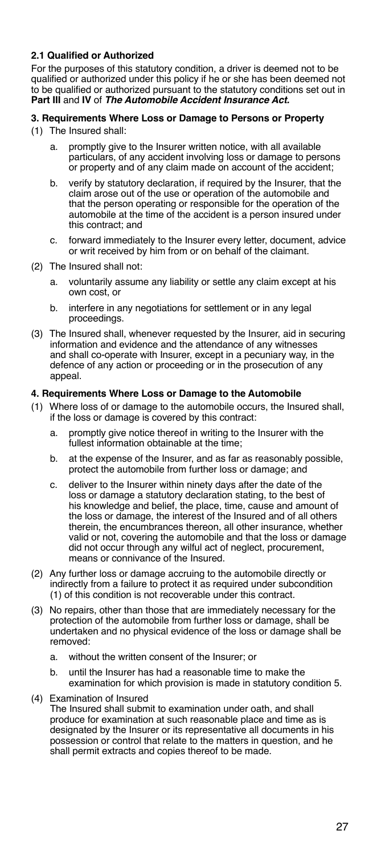### **2.1 Qualified or Authorized**

For the purposes of this statutory condition, a driver is deemed not to be qualified or authorized under this policy if he or she has been deemed not to be qualified or authorized pursuant to the statutory conditions set out in **Part III** and **IV** of *The Automobile Accident Insurance Act.*

### **3. Requirements Where Loss or Damage to Persons or Property**

- (1) The Insured shall:
	- a. promptly give to the Insurer written notice, with all available particulars, of any accident involving loss or damage to persons or property and of any claim made on account of the accident;
	- b. verify by statutory declaration, if required by the Insurer, that the claim arose out of the use or operation of the automobile and that the person operating or responsible for the operation of the automobile at the time of the accident is a person insured under this contract; and
	- c. forward immediately to the Insurer every letter, document, advice or writ received by him from or on behalf of the claimant.
- (2) The Insured shall not:
	- a. voluntarily assume any liability or settle any claim except at his own cost, or
	- b. interfere in any negotiations for settlement or in any legal proceedings.
- (3) The Insured shall, whenever requested by the Insurer, aid in securing information and evidence and the attendance of any witnesses and shall co-operate with Insurer, except in a pecuniary way, in the defence of any action or proceeding or in the prosecution of any appeal.

### **4. Requirements Where Loss or Damage to the Automobile**

- (1) Where loss of or damage to the automobile occurs, the Insured shall, if the loss or damage is covered by this contract:
	- a. promptly give notice thereof in writing to the Insurer with the fullest information obtainable at the time;
	- b. at the expense of the Insurer, and as far as reasonably possible, protect the automobile from further loss or damage; and
	- c. deliver to the Insurer within ninety days after the date of the loss or damage a statutory declaration stating, to the best of his knowledge and belief, the place, time, cause and amount of the loss or damage, the interest of the Insured and of all others therein, the encumbrances thereon, all other insurance, whether valid or not, covering the automobile and that the loss or damage did not occur through any wilful act of neglect, procurement, means or connivance of the Insured.
- (2) Any further loss or damage accruing to the automobile directly or indirectly from a failure to protect it as required under subcondition (1) of this condition is not recoverable under this contract.
- (3) No repairs, other than those that are immediately necessary for the protection of the automobile from further loss or damage, shall be undertaken and no physical evidence of the loss or damage shall be removed:
	- a. without the written consent of the Insurer; or
	- b. until the Insurer has had a reasonable time to make the examination for which provision is made in statutory condition 5.
- (4) Examination of Insured

The Insured shall submit to examination under oath, and shall produce for examination at such reasonable place and time as is designated by the Insurer or its representative all documents in his possession or control that relate to the matters in question, and he shall permit extracts and copies thereof to be made.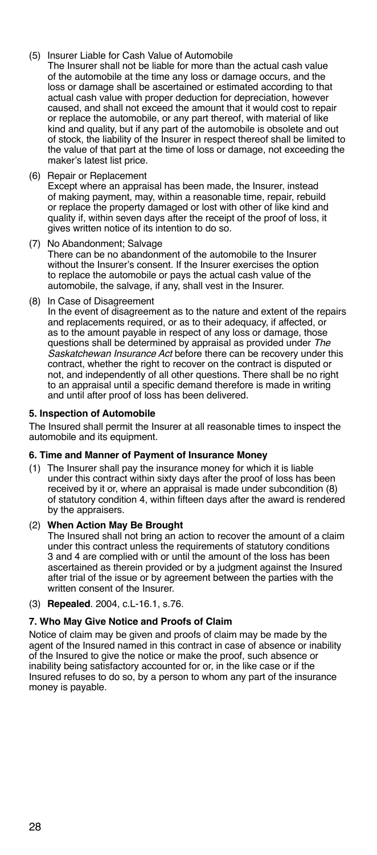- (5) Insurer Liable for Cash Value of Automobile
- The Insurer shall not be liable for more than the actual cash value of the automobile at the time any loss or damage occurs, and the loss or damage shall be ascertained or estimated according to that actual cash value with proper deduction for depreciation, however caused, and shall not exceed the amount that it would cost to repair or replace the automobile, or any part thereof, with material of like kind and quality, but if any part of the automobile is obsolete and out of stock, the liability of the Insurer in respect thereof shall be limited to the value of that part at the time of loss or damage, not exceeding the maker's latest list price.
- (6) Repair or Replacement Except where an appraisal has been made, the Insurer, instead of making payment, may, within a reasonable time, repair, rebuild or replace the property damaged or lost with other of like kind and quality if, within seven days after the receipt of the proof of loss, it gives written notice of its intention to do so.
- (7) No Abandonment; Salvage There can be no abandonment of the automobile to the Insurer without the Insurer's consent. If the Insurer exercises the option to replace the automobile or pays the actual cash value of the automobile, the salvage, if any, shall vest in the Insurer.
- (8) In Case of Disagreement

In the event of disagreement as to the nature and extent of the repairs and replacements required, or as to their adequacy, if affected, or as to the amount payable in respect of any loss or damage, those questions shall be determined by appraisal as provided under *The Saskatchewan Insurance Act* before there can be recovery under this contract, whether the right to recover on the contract is disputed or not, and independently of all other questions. There shall be no right to an appraisal until a specific demand therefore is made in writing and until after proof of loss has been delivered.

### **5. Inspection of Automobile**

The Insured shall permit the Insurer at all reasonable times to inspect the automobile and its equipment.

### **6. Time and Manner of Payment of Insurance Money**

(1) The Insurer shall pay the insurance money for which it is liable under this contract within sixty days after the proof of loss has been received by it or, where an appraisal is made under subcondition (8) of statutory condition 4, within fifteen days after the award is rendered by the appraisers.

### (2) **When Action May Be Brought**

The Insured shall not bring an action to recover the amount of a claim under this contract unless the requirements of statutory conditions 3 and 4 are complied with or until the amount of the loss has been ascertained as therein provided or by a judgment against the Insured after trial of the issue or by agreement between the parties with the written consent of the Insurer.

### (3) **Repealed**. 2004, c.L-16.1, s.76.

### **7. Who May Give Notice and Proofs of Claim**

Notice of claim may be given and proofs of claim may be made by the agent of the Insured named in this contract in case of absence or inability of the Insured to give the notice or make the proof, such absence or inability being satisfactory accounted for or, in the like case or if the Insured refuses to do so, by a person to whom any part of the insurance money is payable.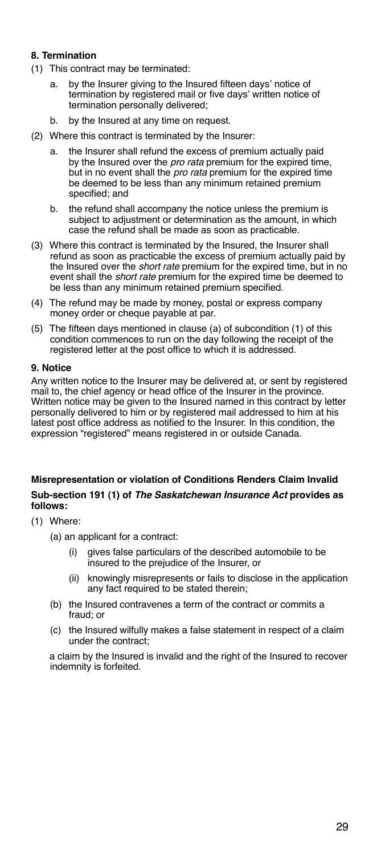### **8. Termination**

- (1) This contract may be terminated:
	- a. by the Insurer giving to the Insured fifteen days' notice of termination by registered mail or five days' written notice of termination personally delivered;
	- b. by the Insured at any time on request.
- (2) Where this contract is terminated by the Insurer:
	- a. the Insurer shall refund the excess of premium actually paid by the Insured over the *pro rata* premium for the expired time, but in no event shall the *pro rata* premium for the expired time be deemed to be less than any minimum retained premium specified; and
	- b. the refund shall accompany the notice unless the premium is subject to adjustment or determination as the amount, in which case the refund shall be made as soon as practicable.
- (3) Where this contract is terminated by the Insured, the Insurer shall refund as soon as practicable the excess of premium actually paid by the Insured over the *short rate* premium for the expired time, but in no event shall the *short rate* premium for the expired time be deemed to be less than any minimum retained premium specified.
- (4) The refund may be made by money, postal or express company money order or cheque payable at par.
- (5) The fifteen days mentioned in clause (a) of subcondition (1) of this condition commences to run on the day following the receipt of the registered letter at the post office to which it is addressed.

### **9. Notice**

Any written notice to the Insurer may be delivered at, or sent by registered mail to, the chief agency or head office of the Insurer in the province. Written notice may be given to the Insured named in this contract by letter personally delivered to him or by registered mail addressed to him at his latest post office address as notified to the Insurer. In this condition, the expression "registered" means registered in or outside Canada.

### **Misrepresentation or violation of Conditions Renders Claim Invalid Sub-section 191 (1) of** *The Saskatchewan Insurance Act* **provides as follows:**

- (1) Where:
	- (a) an applicant for a contract:
		- (i) gives false particulars of the described automobile to be insured to the prejudice of the Insurer, or
		- (ii) knowingly misrepresents or fails to disclose in the application any fact required to be stated therein;
	- (b) the Insured contravenes a term of the contract or commits a fraud; or
	- (c) the Insured wilfully makes a false statement in respect of a claim under the contract;

a claim by the Insured is invalid and the right of the Insured to recover indemnity is forfeited.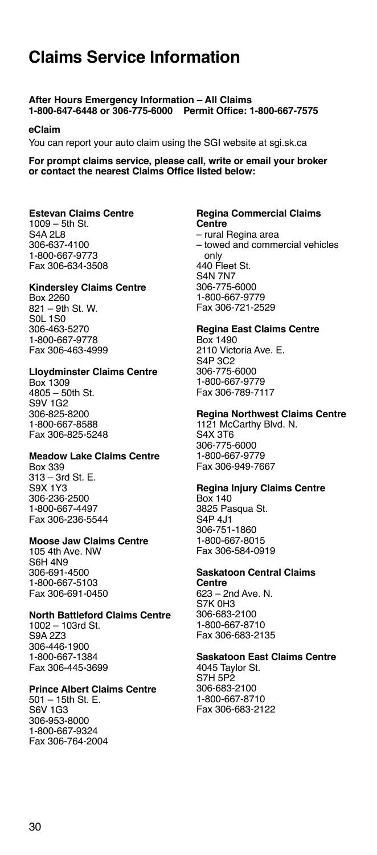# <span id="page-35-0"></span>**Claims Service Information**

### **After Hours Emergency Information – All Claims 1-800-647-6448 or 306-775-6000 Permit Office: 1-800-667-7575**

### **eClaim**

You can report your auto claim using the SGI website at sgi.sk.ca

### **For prompt claims service, please call, write or email your broker or contact the nearest Claims Office listed below:**

### **Estevan Claims Centre**

1009 – 5th St. S4A 2L8 306-637-4100 1-800-667-9773 Fax 306-634-3508

### **Kindersley Claims Centre**

Box 2260 821 – 9th St. W. S0L 1S0 306-463-5270 1-800-667-9778 Fax 306-463-4999

### **Lloydminster Claims Centre**

Box 1309 4805 – 50th St. S9V 1G2 306-825-8200 1-800-667-8588 Fax 306-825-5248

### **Meadow Lake Claims Centre**

Box 339 313 – 3rd St. E. S9X 1Y3 306-236-2500 1-800-667-4497 Fax 306-236-5544

### **Moose Jaw Claims Centre**

105 4th Ave. NW S6H 4N9 306-691-4500 1-800-667-5103 Fax 306-691-0450

### **North Battleford Claims Centre**

1002 – 103rd St. S9A 2Z3 306-446-1900 1-800-667-1384 Fax 306-445-3699

### **Prince Albert Claims Centre**

501 – 15th St. E. S6V 1G3 306-953-8000 1-800-667-9324 Fax 306-764-2004

#### **Regina Commercial Claims Centre**

– rural Regina area

– towed and commercial vehicles only 440 Fleet St. S4N 7N7 306-775-6000 1-800-667-9779 Fax 306-721-2529

### **Regina East Claims Centre**

Box 1490 2110 Victoria Ave. E. S4P 3C2 306-775-6000 1-800-667-9779 Fax 306-789-7117

### **Regina Northwest Claims Centre**

1121 McCarthy Blvd. N. S4X 3T6 306-775-6000 1-800-667-9779 Fax 306-949-7667

### **Regina Injury Claims Centre**

Box 140 3825 Pasqua St. S4P 4J1 306-751-1860 1-800-667-8015 Fax 306-584-0919

#### **Saskatoon Central Claims Centre**

623 – 2nd Ave. N. S7K 0H3 306-683-2100 1-800-667-8710 Fax 306-683-2135

### **Saskatoon East Claims Centre**

4045 Taylor St. S7H 5P2 306-683-2100 1-800-667-8710 Fax 306-683-2122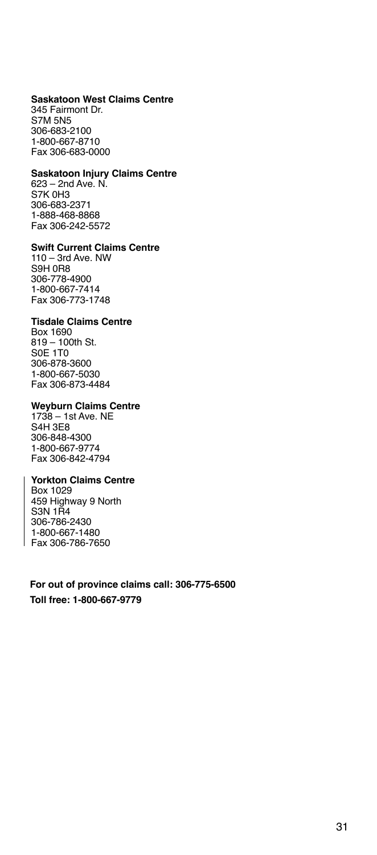#### **Saskatoon West Claims Centre**

345 Fairmont Dr. S7M 5N5 306-683-2100 1-800-667-8710 Fax 306-683-0000

### **Saskatoon Injury Claims Centre**

623 – 2nd Ave. N. S7K 0H3 306-683-2371 1-888-468-8868 Fax 306-242-5572

### **Swift Current Claims Centre**

110 – 3rd Ave. NW S9H 0R8 306-778-4900 1-800-667-7414 Fax 306-773-1748

### **Tisdale Claims Centre**

Box 1690 819 – 100th St. S0E 1T0 306-878-3600 1-800-667-5030 Fax 306-873-4484

### **Weyburn Claims Centre**

1738 – 1st Ave. NE S4H 3E8 306-848-4300 1-800-667-9774 Fax 306-842-4794

### **Yorkton Claims Centre**

Box 1029 459 Highway 9 North S3N 1R4 306-786-2430 1-800-667-1480 Fax 306-786-7650

**For out of province claims call: 306-775-6500 Toll free: 1-800-667-9779**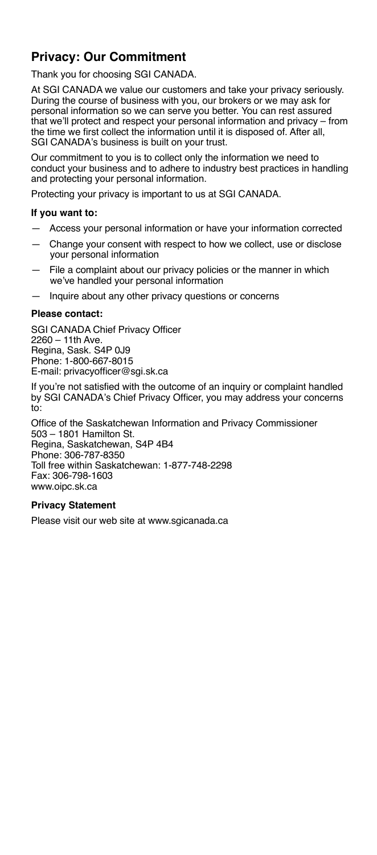# **Privacy: Our Commitment**

Thank you for choosing SGI CANADA.

At SGI CANADA we value our customers and take your privacy seriously. During the course of business with you, our brokers or we may ask for personal information so we can serve you better. You can rest assured that we'll protect and respect your personal information and privacy – from the time we first collect the information until it is disposed of. After all, SGI CANADA's business is built on your trust.

Our commitment to you is to collect only the information we need to conduct your business and to adhere to industry best practices in handling and protecting your personal information.

Protecting your privacy is important to us at SGI CANADA.

### **If you want to:**

- Access your personal information or have your information corrected
- Change your consent with respect to how we collect, use or disclose your personal information
- File a complaint about our privacy policies or the manner in which we've handled your personal information
- Inquire about any other privacy questions or concerns

### **Please contact:**

SGI CANADA Chief Privacy Officer 2260 – 11th Ave. Regina, Sask. S4P 0J9 Phone: 1-800-667-8015 E-mail: privacyofficer@sgi.sk.ca

If you're not satisfied with the outcome of an inquiry or complaint handled by SGI CANADA's Chief Privacy Officer, you may address your concerns to:

Office of the Saskatchewan Information and Privacy Commissioner 503 – 1801 Hamilton St. Regina, Saskatchewan, S4P 4B4 Phone: 306-787-8350 Toll free within Saskatchewan: 1-877-748-2298 Fax: 306-798-1603 www.oipc.sk.ca

### **Privacy Statement**

Please visit our web site at www.sgicanada.ca